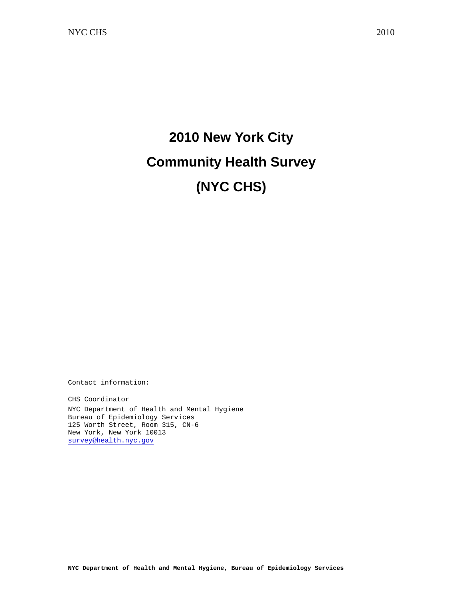# **2010 New York City Community Health Survey (NYC CHS)**

Contact information:

CHS Coordinator NYC Department of Health and Mental Hygiene Bureau of Epidemiology Services 125 Worth Street, Room 315, CN-6 New York, New York 10013 [survey@health.nyc.gov](mailto:survey@health.nyc.gov)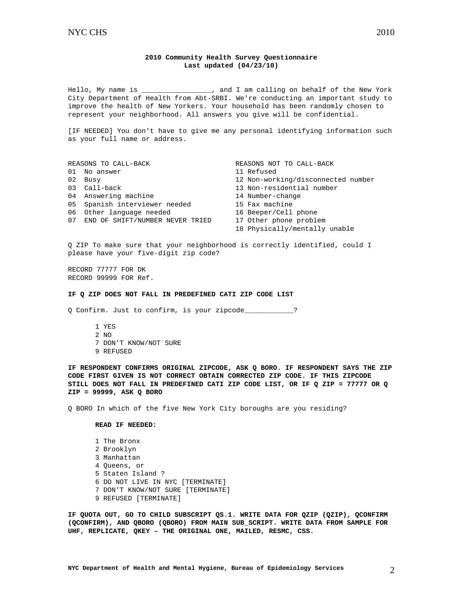### **2010 Community Health Survey Questionnaire Last updated (04/23/10)**

Hello, My name is \_\_\_\_\_\_\_\_\_\_\_\_\_\_\_\_\_, and I am calling on behalf of the New York City Department of Health from Abt-SRBI. We're conducting an important study to improve the health of New Yorkers. Your household has been randomly chosen to represent your neighborhood. All answers you give will be confidential.

[IF NEEDED] You don't have to give me any personal identifying information such as your full name or address.

| REASONS TO CALL-BACK               | REASONS NOT TO CALL-BACK           |
|------------------------------------|------------------------------------|
| 01 No answer                       | 11 Refused                         |
| 02 Busy                            | 12 Non-working/disconnected number |
| 03 Call-back                       | 13 Non-residential number          |
| 04 Answering machine               | 14 Number-change                   |
| 05 Spanish interviewer needed      | 15 Fax machine                     |
| 06 Other language needed           | 16 Beeper/Cell phone               |
| 07 END OF SHIFT/NUMBER NEVER TRIED | 17 Other phone problem             |
|                                    | 18 Physically/mentally unable      |
|                                    |                                    |

Q ZIP To make sure that your neighborhood is correctly identified, could I please have your five-digit zip code?

RECORD 77777 FOR DK RECORD 99999 FOR Ref.

#### **IF Q ZIP DOES NOT FALL IN PREDEFINED CATI ZIP CODE LIST**

Q Confirm. Just to confirm, is your zipcode\_\_\_\_\_\_\_\_\_\_\_\_?

1 YES 2 NO 7 DON'T KNOW/NOT SURE 9 REFUSED

**IF RESPONDENT CONFIRMS ORIGINAL ZIPCODE, ASK Q BORO. IF RESPONDENT SAYS THE ZIP CODE FIRST GIVEN IS NOT CORRECT OBTAIN CORRECTED ZIP CODE. IF THIS ZIPCODE STILL DOES NOT FALL IN PREDEFINED CATI ZIP CODE LIST, OR IF Q ZIP = 77777 OR Q ZIP = 99999, ASK Q BORO**

Q BORO In which of the five New York City boroughs are you residing?

### **READ IF NEEDED:**

1 The Bronx 2 Brooklyn 3 Manhattan 4 Queens, or 5 Staten Island ? 6 DO NOT LIVE IN NYC [TERMINATE] 7 DON'T KNOW/NOT SURE [TERMINATE] 9 REFUSED [TERMINATE]

**IF QUOTA OUT, GO TO CHILD SUBSCRIPT QS.1. WRITE DATA FOR QZIP (QZIP), QCONFIRM (QCONFIRM), AND QBORO (QBORO) FROM MAIN SUB\_SCRIPT. WRITE DATA FROM SAMPLE FOR UHF, REPLICATE, QKEY – THE ORIGINAL ONE, MAILED, RESMC, CSS.**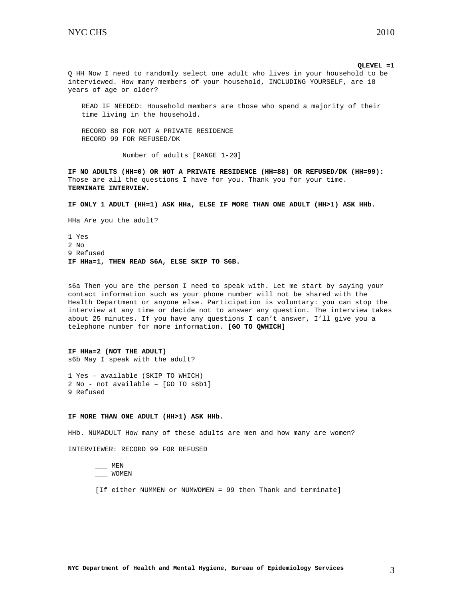### **QLEVEL =1**

Q HH Now I need to randomly select one adult who lives in your household to be interviewed. How many members of your household, INCLUDING YOURSELF, are 18 years of age or older?

READ IF NEEDED: Household members are those who spend a majority of their time living in the household.

RECORD 88 FOR NOT A PRIVATE RESIDENCE RECORD 99 FOR REFUSED/DK

\_\_\_\_\_\_\_\_\_ Number of adults [RANGE 1-20]

**IF NO ADULTS (HH=0) OR NOT A PRIVATE RESIDENCE (HH=88) OR REFUSED/DK (HH=99):** Those are all the questions I have for you. Thank you for your time. **TERMINATE INTERVIEW.**

**IF ONLY 1 ADULT (HH=1) ASK HHa, ELSE IF MORE THAN ONE ADULT (HH>1) ASK HHb.**

HHa Are you the adult?

1 Yes 2 No 9 Refused **IF HHa=1, THEN READ S6A, ELSE SKIP TO S6B.**

s6a Then you are the person I need to speak with. Let me start by saying your contact information such as your phone number will not be shared with the Health Department or anyone else. Participation is voluntary: you can stop the interview at any time or decide not to answer any question. The interview takes about 25 minutes. If you have any questions I can't answer, I'll give you a telephone number for more information. **[GO TO QWHICH]**

**IF HHa=2 (NOT THE ADULT)** s6b May I speak with the adult?

1 Yes - available (SKIP TO WHICH) 2 No - not available – [GO TO s6b1] 9 Refused

### **IF MORE THAN ONE ADULT (HH>1) ASK HHb.**

HHb. NUMADULT How many of these adults are men and how many are women?

INTERVIEWER: RECORD 99 FOR REFUSED

 $\_\_\_\_\$  MEN \_\_\_ WOMEN

[If either NUMMEN or NUMWOMEN = 99 then Thank and terminate]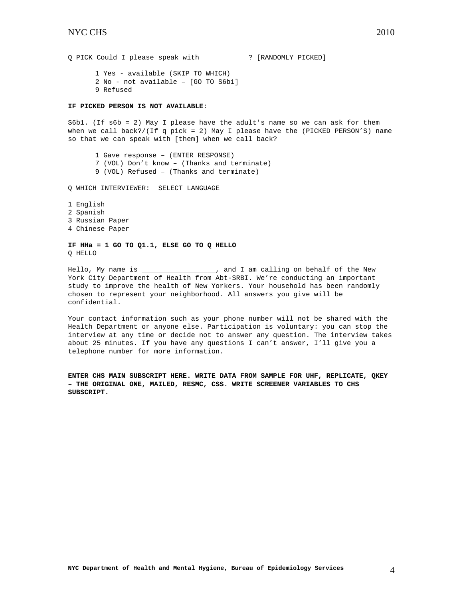### NYC CHS 2010

Q PICK Could I please speak with \_\_\_\_\_\_\_\_\_\_\_? [RANDOMLY PICKED]

1 Yes - available (SKIP TO WHICH) 2 No - not available – [GO TO S6b1] 9 Refused

### **IF PICKED PERSON IS NOT AVAILABLE:**

S6b1. (If s6b = 2) May I please have the adult's name so we can ask for them when we call back?/(If  $q$  pick = 2) May I please have the (PICKED PERSON'S) name so that we can speak with [them] when we call back?

1 Gave response – (ENTER RESPONSE) 7 (VOL) Don't know – (Thanks and terminate) 9 (VOL) Refused – (Thanks and terminate)

Q WHICH INTERVIEWER: SELECT LANGUAGE

1 English

- 2 Spanish
- 3 Russian Paper
- 4 Chinese Paper

### **IF HHa = 1 GO TO Q1.1, ELSE GO TO Q HELLO** Q HELLO

Hello, My name is \_\_\_\_\_\_\_\_\_\_\_\_\_\_\_\_\_, and I am calling on behalf of the New York City Department of Health from Abt-SRBI. We're conducting an important study to improve the health of New Yorkers. Your household has been randomly chosen to represent your neighborhood. All answers you give will be confidential.

Your contact information such as your phone number will not be shared with the Health Department or anyone else. Participation is voluntary: you can stop the interview at any time or decide not to answer any question. The interview takes about 25 minutes. If you have any questions I can't answer, I'll give you a telephone number for more information.

**ENTER CHS MAIN SUBSCRIPT HERE. WRITE DATA FROM SAMPLE FOR UHF, REPLICATE, QKEY – THE ORIGINAL ONE, MAILED, RESMC, CSS. WRITE SCREENER VARIABLES TO CHS SUBSCRIPT.**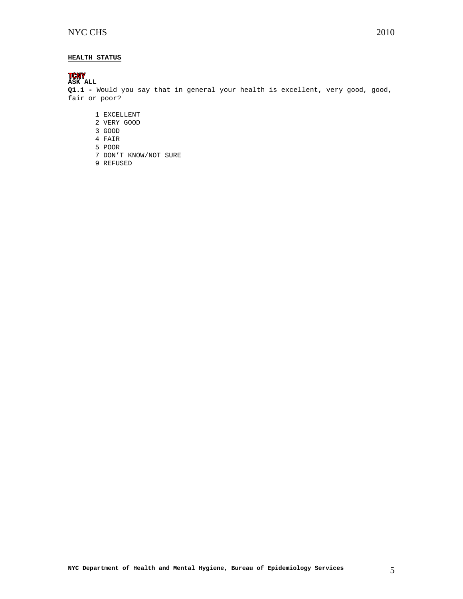### **HEALTH STATUS**

**TCNY**<br>ASK ALL

**Q1.1 -** Would you say that in general your health is excellent, very good, good, fair or poor?

- 1 EXCELLENT
- 2 VERY GOOD
- 3 GOOD
- 4 FAIR
- 5 POOR
- 7 DON'T KNOW/NOT SURE
- 9 REFUSED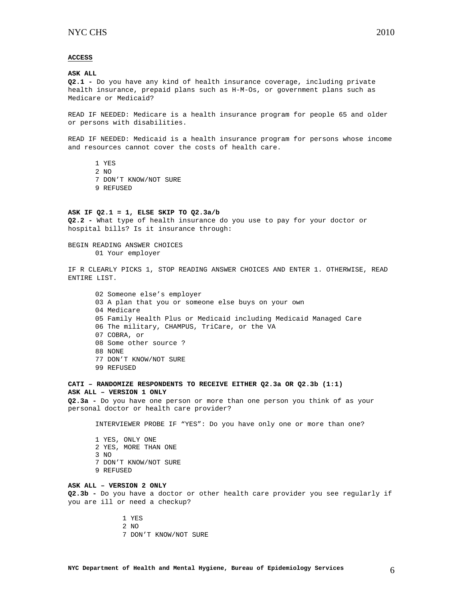### **ACCESS**

### **ASK ALL**

**Q2.1 -** Do you have any kind of health insurance coverage, including private health insurance, prepaid plans such as H-M-Os, or government plans such as Medicare or Medicaid?

READ IF NEEDED: Medicare is a health insurance program for people 65 and older or persons with disabilities.

READ IF NEEDED: Medicaid is a health insurance program for persons whose income and resources cannot cover the costs of health care.

1 YES 2 NO 7 DON'T KNOW/NOT SURE 9 REFUSED

### **ASK IF Q2.1 = 1, ELSE SKIP TO Q2.3a/b**

**Q2.2 -** What type of health insurance do you use to pay for your doctor or hospital bills? Is it insurance through:

BEGIN READING ANSWER CHOICES 01 Your employer

IF R CLEARLY PICKS 1, STOP READING ANSWER CHOICES AND ENTER 1. OTHERWISE, READ ENTIRE LIST.

02 Someone else's employer 03 A plan that you or someone else buys on your own 04 Medicare 05 Family Health Plus or Medicaid including Medicaid Managed Care 06 The military, CHAMPUS, TriCare, or the VA 07 COBRA, or 08 Some other source ? 88 NONE 77 DON'T KNOW/NOT SURE 99 REFUSED

### **CATI – RANDOMIZE RESPONDENTS TO RECEIVE EITHER Q2.3a OR Q2.3b (1:1) ASK ALL – VERSION 1 ONLY**

**Q2.3a -** Do you have one person or more than one person you think of as your personal doctor or health care provider?

INTERVIEWER PROBE IF "YES": Do you have only one or more than one?

1 YES, ONLY ONE 2 YES, MORE THAN ONE 3 NO 7 DON'T KNOW/NOT SURE 9 REFUSED

### **ASK ALL – VERSION 2 ONLY**

**Q2.3b -** Do you have a doctor or other health care provider you see regularly if you are ill or need a checkup?

> 1 YES 2  $N<sub>O</sub>$ 7 DON'T KNOW/NOT SURE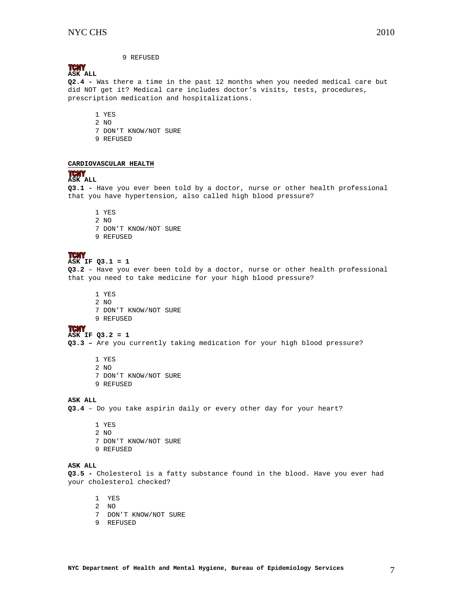### 9 REFUSED

### **TCNY ASK ALL**

**Q2.4 -** Was there a time in the past 12 months when you needed medical care but did NOT get it? Medical care includes doctor's visits, tests, procedures, prescription medication and hospitalizations.

- 1 YES
- 2 NO
- 7 DON'T KNOW/NOT SURE
- 9 REFUSED

### **CARDIOVASCULAR HEALTH**

#### **TCNY ASK ALL**

**Q3.1 -** Have you ever been told by a doctor, nurse or other health professional that you have hypertension, also called high blood pressure?

- 1 YES
- 2 NO
- 7 DON'T KNOW/NOT SURE
- 9 REFUSED

### **TCNY**

### **ASK IF Q3.1 = 1**

**Q3.2** – Have you ever been told by a doctor, nurse or other health professional that you need to take medicine for your high blood pressure?

- 1 YES
- 2 NO
- 7 DON'T KNOW/NOT SURE
- 9 REFUSED

### **TCNY**

**ASK IF Q3.2 = 1 Q3.3 –** Are you currently taking medication for your high blood pressure?

- 1 YES
- 2 NO
- 7 DON'T KNOW/NOT SURE
- 9 REFUSED

### **ASK ALL**

**Q3.4** – Do you take aspirin daily or every other day for your heart?

- 1 YES 2 NO 7 DON'T KNOW/NOT SURE
- 9 REFUSED

### **ASK ALL**

**Q3.5 -** Cholesterol is a fatty substance found in the blood. Have you ever had your cholesterol checked?

- 1 YES
- 2 NO
- 7 DON'T KNOW/NOT SURE
- 9 REFUSED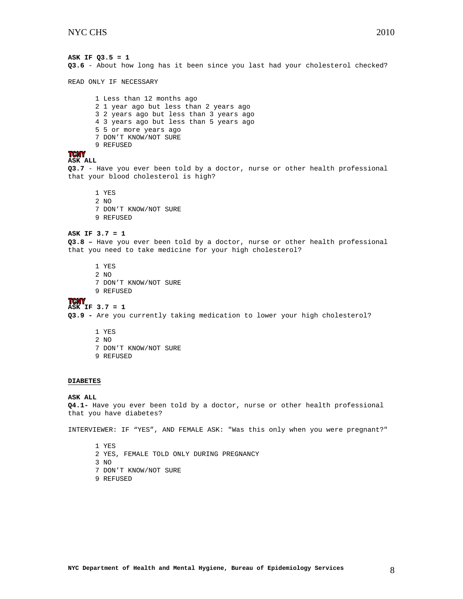```
ASK IF Q3.5 = 1
Q3.6 - About how long has it been since you last had your cholesterol checked? 
READ ONLY IF NECESSARY
       1 Less than 12 months ago 
       2 1 year ago but less than 2 years ago 
       3 2 years ago but less than 3 years ago 
       4 3 years ago but less than 5 years ago 
       5 5 or more years ago 
       7 DON'T KNOW/NOT SURE 
       9 REFUSED 
TCNY
ASK ALL
Q3.7 - Have you ever been told by a doctor, nurse or other health professional 
that your blood cholesterol is high?
       1 YES
       2 NO 
       7 DON'T KNOW/NOT SURE 
       9 REFUSED 
ASK IF 3.7 = 1
Q3.8 – Have you ever been told by a doctor, nurse or other health professional 
that you need to take medicine for your high cholesterol?
       1 YES
       2 NO 
       7 DON'T KNOW/NOT SURE 
       9 REFUSED 
TCNY
ASK IF 3.7 = 1
Q3.9 - Are you currently taking medication to lower your high cholesterol?
       1 YES 
       2 NO 
       7 DON'T KNOW/NOT SURE 
       9 REFUSED 
DIABETES
ASK ALL
Q4.1- Have you ever been told by a doctor, nurse or other health professional 
that you have diabetes?
```
INTERVIEWER: IF "YES", AND FEMALE ASK: "Was this only when you were pregnant?"

1 YES 2 YES, FEMALE TOLD ONLY DURING PREGNANCY 3 NO 7 DON'T KNOW/NOT SURE 9 REFUSED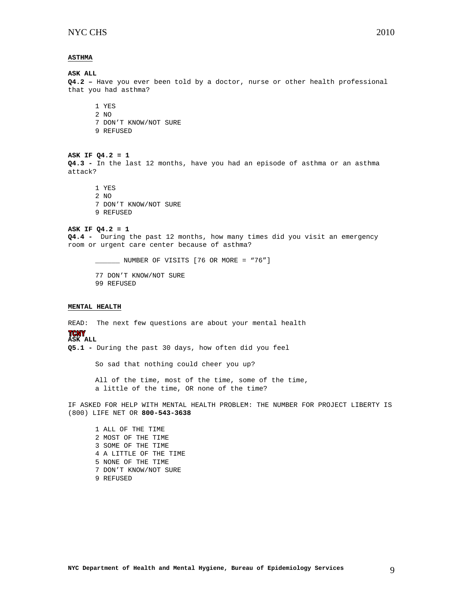### **ASTHMA**

### **ASK ALL**

**Q4.2 –** Have you ever been told by a doctor, nurse or other health professional that you had asthma?

- 1 YES 2  $N()$
- 7 DON'T KNOW/NOT SURE
- 9 REFUSED

**ASK IF Q4.2 = 1 Q4.3 -** In the last 12 months, have you had an episode of asthma or an asthma attack?

1 YES 2 NO 7 DON'T KNOW/NOT SURE 9 REFUSED

**ASK IF Q4.2 = 1 Q4.4 -** During the past 12 months, how many times did you visit an emergency room or urgent care center because of asthma?

\_\_\_\_\_\_ NUMBER OF VISITS [76 OR MORE = "76"] 77 DON'T KNOW/NOT SURE 99 REFUSED

### **MENTAL HEALTH**

READ: The next few questions are about your mental health

#### **TCNY ASK ALL**

**Q5.1 -** During the past 30 days, how often did you feel

So sad that nothing could cheer you up?

All of the time, most of the time, some of the time, a little of the time, OR none of the time?

IF ASKED FOR HELP WITH MENTAL HEALTH PROBLEM: THE NUMBER FOR PROJECT LIBERTY IS (800) LIFE NET OR **800-543-3638**

1 ALL OF THE TIME 2 MOST OF THE TIME 3 SOME OF THE TIME 4 A LITTLE OF THE TIME 5 NONE OF THE TIME 7 DON'T KNOW/NOT SURE 9 REFUSED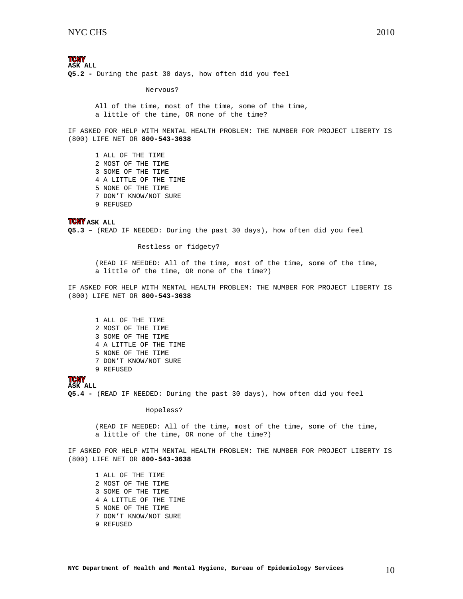**TCNY ASK ALL Q5.2 -** During the past 30 days, how often did you feel

Nervous?

All of the time, most of the time, some of the time, a little of the time, OR none of the time?

IF ASKED FOR HELP WITH MENTAL HEALTH PROBLEM: THE NUMBER FOR PROJECT LIBERTY IS (800) LIFE NET OR **800-543-3638**

1 ALL OF THE TIME 2 MOST OF THE TIME 3 SOME OF THE TIME 4 A LITTLE OF THE TIME 5 NONE OF THE TIME 7 DON'T KNOW/NOT SURE 9 REFUSED

### **TCNY** ASK ALL

**Q5.3 –** (READ IF NEEDED: During the past 30 days), how often did you feel

Restless or fidgety?

(READ IF NEEDED: All of the time, most of the time, some of the time, a little of the time, OR none of the time?)

IF ASKED FOR HELP WITH MENTAL HEALTH PROBLEM: THE NUMBER FOR PROJECT LIBERTY IS (800) LIFE NET OR **800-543-3638**

1 ALL OF THE TIME 2 MOST OF THE TIME 3 SOME OF THE TIME 4 A LITTLE OF THE TIME 5 NONE OF THE TIME 7 DON'T KNOW/NOT SURE 9 REFUSED

#### **TCNY ASK ALL**

**Q5.4 -** (READ IF NEEDED: During the past 30 days), how often did you feel

Hopeless?

(READ IF NEEDED: All of the time, most of the time, some of the time, a little of the time, OR none of the time?)

IF ASKED FOR HELP WITH MENTAL HEALTH PROBLEM: THE NUMBER FOR PROJECT LIBERTY IS (800) LIFE NET OR **800-543-3638**

1 ALL OF THE TIME 2 MOST OF THE TIME 3 SOME OF THE TIME 4 A LITTLE OF THE TIME 5 NONE OF THE TIME 7 DON'T KNOW/NOT SURE 9 REFUSED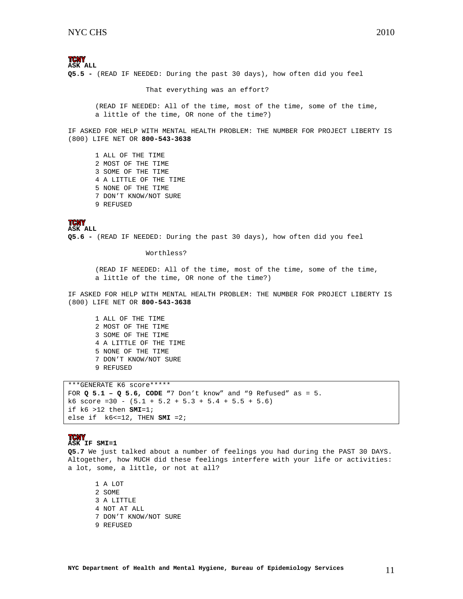```
TCNY
```
**ASK ALL**

**Q5.5 -** (READ IF NEEDED: During the past 30 days), how often did you feel

That everything was an effort?

(READ IF NEEDED: All of the time, most of the time, some of the time, a little of the time, OR none of the time?)

IF ASKED FOR HELP WITH MENTAL HEALTH PROBLEM: THE NUMBER FOR PROJECT LIBERTY IS (800) LIFE NET OR **800-543-3638**

1 ALL OF THE TIME 2 MOST OF THE TIME 3 SOME OF THE TIME 4 A LITTLE OF THE TIME 5 NONE OF THE TIME 7 DON'T KNOW/NOT SURE 9 REFUSED

### **TCNY ASK ALL**

**Q5.6 -** (READ IF NEEDED: During the past 30 days), how often did you feel

Worthless?

(READ IF NEEDED: All of the time, most of the time, some of the time, a little of the time, OR none of the time?)

IF ASKED FOR HELP WITH MENTAL HEALTH PROBLEM: THE NUMBER FOR PROJECT LIBERTY IS (800) LIFE NET OR **800-543-3638**

1 ALL OF THE TIME 2 MOST OF THE TIME 3 SOME OF THE TIME 4 A LITTLE OF THE TIME 5 NONE OF THE TIME 7 DON'T KNOW/NOT SURE 9 REFUSED

```
***GENERATE K6 score***** 
FOR Q 5.1 – Q 5.6, CODE "7 Don't know" and "9 Refused" as = 5. 
k6 score =30 - (5.1 + 5.2 + 5.3 + 5.4 + 5.5 + 5.6)if k6 >12 then SMI=1; 
else if k6<=12, THEN SMI =2;
```
### **TCNY ASK IF SMI=1**

**Q5.7** We just talked about a number of feelings you had during the PAST 30 DAYS. Altogether, how MUCH did these feelings interfere with your life or activities: a lot, some, a little, or not at all?

1 A LOT 2 SOME 3 A LITTLE 4 NOT AT ALL 7 DON'T KNOW/NOT SURE 9 REFUSED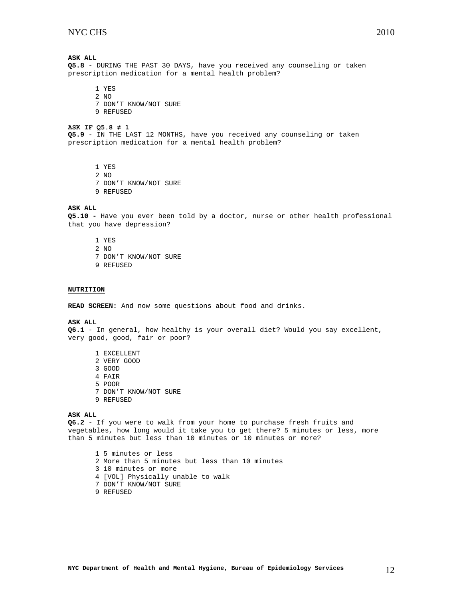**ASK ALL Q5.8** - DURING THE PAST 30 DAYS, have you received any counseling or taken prescription medication for a mental health problem?

1 YES 2  $N<sub>O</sub>$ 7 DON'T KNOW/NOT SURE 9 REFUSED

#### **ASK IF Q5.8 ≠ 1**

**Q5.9** - IN THE LAST 12 MONTHS, have you received any counseling or taken prescription medication for a mental health problem?

1 YES

2 NO

7 DON'T KNOW/NOT SURE

9 REFUSED

### **ASK ALL**

**Q5.10 -** Have you ever been told by a doctor, nurse or other health professional that you have depression?

1 YES 2  $N<sub>O</sub>$ 

- 7 DON'T KNOW/NOT SURE
- 9 REFUSED

### **NUTRITION**

**READ SCREEN:** And now some questions about food and drinks.

#### **ASK ALL**

**Q6.1** - In general, how healthy is your overall diet? Would you say excellent, very good, good, fair or poor?

1 EXCELLENT 2 VERY GOOD 3 GOOD 4 FAIR 5 POOR 7 DON'T KNOW/NOT SURE 9 REFUSED

### **ASK ALL**

**Q6.2** - If you were to walk from your home to purchase fresh fruits and vegetables, how long would it take you to get there? 5 minutes or less, more than 5 minutes but less than 10 minutes or 10 minutes or more?

1 5 minutes or less 2 More than 5 minutes but less than 10 minutes 3 10 minutes or more 4 [VOL] Physically unable to walk 7 DON'T KNOW/NOT SURE 9 REFUSED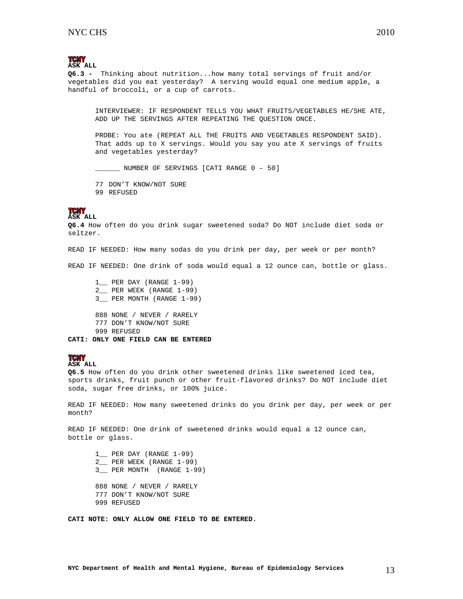**TCNY ASK ALL**

**Q6.3 -** Thinking about nutrition...how many total servings of fruit and/or vegetables did you eat yesterday? A serving would equal one medium apple, a handful of broccoli, or a cup of carrots.

INTERVIEWER: IF RESPONDENT TELLS YOU WHAT FRUITS/VEGETABLES HE/SHE ATE, ADD UP THE SERVINGS AFTER REPEATING THE QUESTION ONCE.

PROBE: You ate (REPEAT ALL THE FRUITS AND VEGETABLES RESPONDENT SAID). That adds up to X servings. Would you say you ate X servings of fruits and vegetables yesterday?

\_\_\_\_\_\_ NUMBER OF SERVINGS [CATI RANGE 0 – 50]

77 DON'T KNOW/NOT SURE 99 REFUSED

### **TCNY**

**ASK ALL**

**Q6.4** How often do you drink sugar sweetened soda? Do NOT include diet soda or seltzer.

READ IF NEEDED: How many sodas do you drink per day, per week or per month?

READ IF NEEDED: One drink of soda would equal a 12 ounce can, bottle or glass.

1\_\_ PER DAY (RANGE 1-99) 2\_\_ PER WEEK (RANGE 1-99) 3\_\_ PER MONTH (RANGE 1-99) 888 NONE / NEVER / RARELY 777 DON'T KNOW/NOT SURE 999 REFUSED **CATI: ONLY ONE FIELD CAN BE ENTERED**

### **TCNY**

**ASK ALL**

**Q6.5** How often do you drink other sweetened drinks like sweetened iced tea, sports drinks, fruit punch or other fruit-flavored drinks? Do NOT include diet soda, sugar free drinks, or 100% juice.

READ IF NEEDED: How many sweetened drinks do you drink per day, per week or per month?

READ IF NEEDED: One drink of sweetened drinks would equal a 12 ounce can, bottle or glass.

1\_\_ PER DAY (RANGE 1-99) 2\_\_ PER WEEK (RANGE 1-99) 3\_\_ PER MONTH (RANGE 1-99) 888 NONE / NEVER / RARELY 777 DON'T KNOW/NOT SURE 999 REFUSED

**CATI NOTE: ONLY ALLOW ONE FIELD TO BE ENTERED.**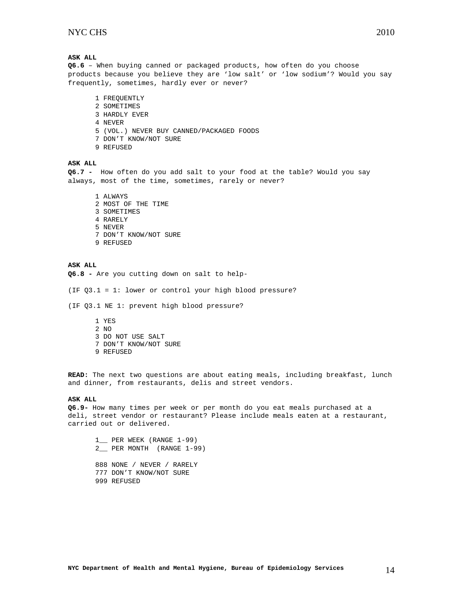### **ASK ALL Q6.6** – When buying canned or packaged products, how often do you choose products because you believe they are 'low salt' or 'low sodium'? Would you say frequently, sometimes, hardly ever or never? 1 FREQUENTLY 2 SOMETIMES 3 HARDLY EVER 4 NEVER 5 (VOL.) NEVER BUY CANNED/PACKAGED FOODS 7 DON'T KNOW/NOT SURE 9 REFUSED **ASK ALL Q6.7 -** How often do you add salt to your food at the table? Would you say always, most of the time, sometimes, rarely or never?

1 ALWAYS 2 MOST OF THE TIME 3 SOMETIMES 4 RARELY 5 NEVER 7 DON'T KNOW/NOT SURE 9 REFUSED

**ASK ALL Q6.8 -** Are you cutting down on salt to help-

(IF Q3.1 = 1: lower or control your high blood pressure?

(IF Q3.1 NE 1: prevent high blood pressure?

1 YES 2 NO 3 DO NOT USE SALT 7 DON'T KNOW/NOT SURE 9 REFUSED

**READ:** The next two questions are about eating meals, including breakfast, lunch and dinner, from restaurants, delis and street vendors.

### **ASK ALL**

**Q6.9-** How many times per week or per month do you eat meals purchased at a deli, street vendor or restaurant? Please include meals eaten at a restaurant, carried out or delivered.

1\_\_ PER WEEK (RANGE 1-99) 2\_\_ PER MONTH (RANGE 1-99) 888 NONE / NEVER / RARELY 777 DON'T KNOW/NOT SURE 999 REFUSED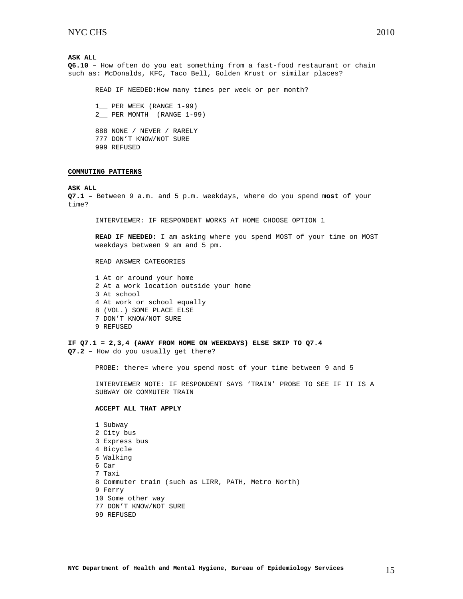**ASK ALL Q6.10 –** How often do you eat something from a fast-food restaurant or chain such as: McDonalds, KFC, Taco Bell, Golden Krust or similar places?

READ IF NEEDED:How many times per week or per month?

1 PER WEEK (RANGE 1-99) 2\_\_ PER MONTH (RANGE 1-99) 888 NONE / NEVER / RARELY 777 DON'T KNOW/NOT SURE 999 REFUSED

### **COMMUTING PATTERNS**

### **ASK ALL**

**Q7.1 –** Between 9 a.m. and 5 p.m. weekdays, where do you spend **most** of your time?

INTERVIEWER: IF RESPONDENT WORKS AT HOME CHOOSE OPTION 1

**READ IF NEEDED:** I am asking where you spend MOST of your time on MOST weekdays between 9 am and 5 pm.

READ ANSWER CATEGORIES

1 At or around your home 2 At a work location outside your home 3 At school 4 At work or school equally 8 (VOL.) SOME PLACE ELSE 7 DON'T KNOW/NOT SURE 9 REFUSED

**IF Q7.1 = 2,3,4 (AWAY FROM HOME ON WEEKDAYS) ELSE SKIP TO Q7.4 Q7.2 –** How do you usually get there?

PROBE: there= where you spend most of your time between 9 and 5

INTERVIEWER NOTE: IF RESPONDENT SAYS 'TRAIN' PROBE TO SEE IF IT IS A SUBWAY OR COMMUTER TRAIN

### **ACCEPT ALL THAT APPLY**

1 Subway 2 City bus 3 Express bus 4 Bicycle 5 Walking 6 Car 7 Taxi 8 Commuter train (such as LIRR, PATH, Metro North) 9 Ferry 10 Some other way 77 DON'T KNOW/NOT SURE 99 REFUSED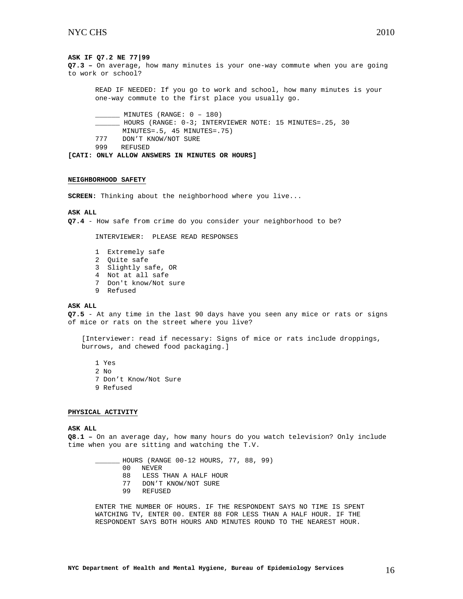### **ASK IF Q7.2 NE 77|99**

**Q7.3 –** On average, how many minutes is your one-way commute when you are going to work or school?

READ IF NEEDED: If you go to work and school, how many minutes is your one-way commute to the first place you usually go.

**\_\_\_\_\_\_** MINUTES (RANGE: 0 – 180) **\_\_\_\_\_\_** HOURS (RANGE: 0-3; INTERVIEWER NOTE: 15 MINUTES=.25, 30 MINUTES=.5, 45 MINUTES=.75)

777 DON'T KNOW/NOT SURE

999REFUSED

**[CATI: ONLY ALLOW ANSWERS IN MINUTES OR HOURS]**

### **NEIGHBORHOOD SAFETY**

**SCREEN:** Thinking about the neighborhood where you live...

### **ASK ALL**

**Q7.4** - How safe from crime do you consider your neighborhood to be?

INTERVIEWER: PLEASE READ RESPONSES

- 1 Extremely safe
- 2 Quite safe
- 3 Slightly safe, OR
- 4 Not at all safe
- 7 Don't know/Not sure
- 9 Refused

### **ASK ALL**

**Q7.5** - At any time in the last 90 days have you seen any mice or rats or signs of mice or rats on the street where you live?

[Interviewer: read if necessary: Signs of mice or rats include droppings, burrows, and chewed food packaging.]

- 1 Yes
- 2 No
- 7 Don't Know/Not Sure
- 9 Refused

### **PHYSICAL ACTIVITY**

#### **ASK ALL**

**Q8.1 –** On an average day, how many hours do you watch television? Only include time when you are sitting and watching the T.V.

\_\_\_\_\_\_ HOURS (RANGE 00-12 HOURS, 77, 88, 99)

- 00 NEVER<br>88 LESS '
	- 88 LESS THAN A HALF HOUR<br>77 DON'T KNOW/NOT SURE
	- 77 DON'T KNOW/NOT SURE<br>99 REFUSED
	- 99 REFUSED

ENTER THE NUMBER OF HOURS. IF THE RESPONDENT SAYS NO TIME IS SPENT WATCHING TV, ENTER 00. ENTER 88 FOR LESS THAN A HALF HOUR. IF THE RESPONDENT SAYS BOTH HOURS AND MINUTES ROUND TO THE NEAREST HOUR.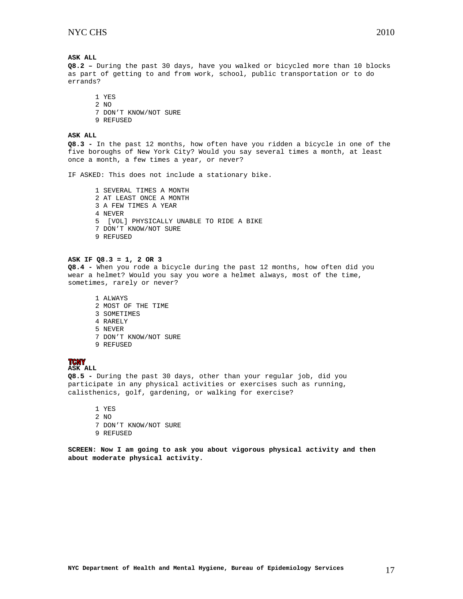### **ASK ALL**

**Q8.2 –** During the past 30 days, have you walked or bicycled more than 10 blocks as part of getting to and from work, school, public transportation or to do errands?

1 YES 2  $N<sub>O</sub>$ 7 DON'T KNOW/NOT SURE 9 REFUSED

### **ASK ALL**

**Q8.3 -** In the past 12 months, how often have you ridden a bicycle in one of the five boroughs of New York City? Would you say several times a month, at least once a month, a few times a year, or never?

IF ASKED: This does not include a stationary bike.

1 SEVERAL TIMES A MONTH 2 AT LEAST ONCE A MONTH 3 A FEW TIMES A YEAR 4 NEVER 5 [VOL] PHYSICALLY UNABLE TO RIDE A BIKE 7 DON'T KNOW/NOT SURE 9 REFUSED

### **ASK IF Q8.3 = 1, 2 OR 3**

**Q8.4 -** When you rode a bicycle during the past 12 months, how often did you wear a helmet? Would you say you wore a helmet always, most of the time, sometimes, rarely or never?

1 ALWAYS 2 MOST OF THE TIME 3 SOMETIMES 4 RARELY 5 NEVER 7 DON'T KNOW/NOT SURE 9 REFUSED

#### **TCNY ASK ALL**

**Q8.5 -** During the past 30 days, other than your regular job, did you participate in any physical activities or exercises such as running, calisthenics, golf, gardening, or walking for exercise?

- 1 YES 2 NO 7 DON'T KNOW/NOT SURE
- 9 REFUSED

**SCREEN: Now I am going to ask you about vigorous physical activity and then about moderate physical activity.**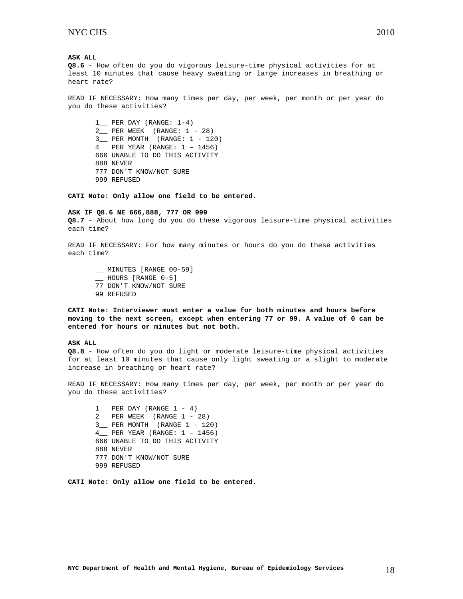**ASK ALL**

**Q8.6** - How often do you do vigorous leisure-time physical activities for at least 10 minutes that cause heavy sweating or large increases in breathing or heart rate?

READ IF NECESSARY: How many times per day, per week, per month or per year do you do these activities?

 $1$ <sub>\_\_</sub> PER DAY (RANGE:  $1-4$ ) 2\_\_ PER WEEK (RANGE: 1 - 28) 3\_\_ PER MONTH (RANGE: 1 - 120) 4\_\_ PER YEAR (RANGE: 1 – 1456) 666 UNABLE TO DO THIS ACTIVITY 888 NEVER 777 DON'T KNOW/NOT SURE 999 REFUSED

**CATI Note: Only allow one field to be entered.**

### **ASK IF Q8.6 NE 666,888, 777 OR 999**

**Q8.7** - About how long do you do these vigorous leisure-time physical activities each time?

READ IF NECESSARY: For how many minutes or hours do you do these activities each time?

\_\_ MINUTES [RANGE 00-59] \_\_ HOURS [RANGE 0-5] 77 DON'T KNOW/NOT SURE 99 REFUSED

**CATI Note: Interviewer must enter a value for both minutes and hours before moving to the next screen, except when entering 77 or 99. A value of 0 can be entered for hours or minutes but not both.**

### **ASK ALL**

**Q8.8** - How often do you do light or moderate leisure-time physical activities for at least 10 minutes that cause only light sweating or a slight to moderate increase in breathing or heart rate?

READ IF NECESSARY: How many times per day, per week, per month or per year do you do these activities?

1\_\_ PER DAY (RANGE 1 - 4) 2\_\_ PER WEEK (RANGE 1 - 28) 3\_\_ PER MONTH (RANGE 1 - 120) 4\_\_ PER YEAR (RANGE: 1 – 1456) 666 UNABLE TO DO THIS ACTIVITY 888 NEVER 777 DON'T KNOW/NOT SURE 999 REFUSED

**CATI Note: Only allow one field to be entered.**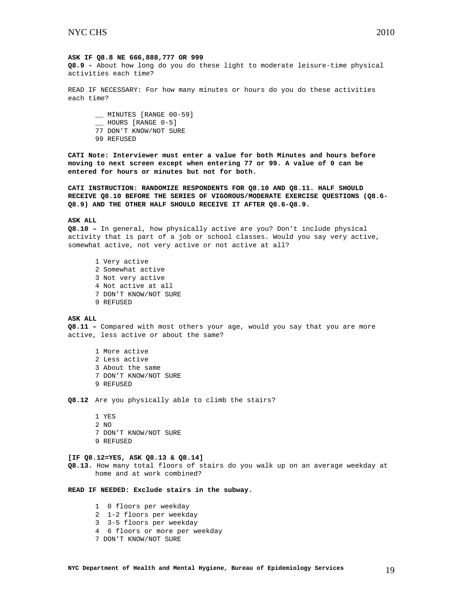### **ASK IF Q8.8 NE 666,888,777 OR 999**

**Q8.9 -** About how long do you do these light to moderate leisure-time physical activities each time?

READ IF NECESSARY: For how many minutes or hours do you do these activities each time?

\_\_ MINUTES [RANGE 00-59] \_\_ HOURS [RANGE 0-5] 77 DON'T KNOW/NOT SURE 99 REFUSED

**CATI Note: Interviewer must enter a value for both Minutes and hours before moving to next screen except when entering 77 or 99. A value of 0 can be entered for hours or minutes but not for both.**

**CATI INSTRUCTION: RANDOMIZE RESPONDENTS FOR Q8.10 AND Q8.11. HALF SHOULD RECEIVE Q8.10 BEFORE THE SERIES OF VIGOROUS/MODERATE EXERCISE QUESTIONS (Q8.6- Q8.9) AND THE OTHER HALF SHOULD RECEIVE IT AFTER Q8.6-Q8.9.**

### **ASK ALL**

**Q8.10 –** In general, how physically active are you? Don't include physical activity that is part of a job or school classes. Would you say very active, somewhat active, not very active or not active at all?

1 Very active 2 Somewhat active 3 Not very active 4 Not active at all 7 DON'T KNOW/NOT SURE 9 REFUSED

#### **ASK ALL**

**Q8.11 –** Compared with most others your age, would you say that you are more active, less active or about the same?

- 1 More active 2 Less active
- 3 About the same
- 7 DON'T KNOW/NOT SURE
- 9 REFUSED

**Q8.12** Are you physically able to climb the stairs?

1 YES 2 NO 7 DON'T KNOW/NOT SURE 9 REFUSED

### **[IF Q8.12=YES, ASK Q8.13 & Q8.14]**

**Q8.13.** How many total floors of stairs do you walk up on an average weekday at home and at work combined?

### **READ IF NEEDED: Exclude stairs in the subway.**

- 1 0 floors per weekday
- 2 1-2 floors per weekday
- 3 3-5 floors per weekday
- 4 6 floors or more per weekday
- 7 DON'T KNOW/NOT SURE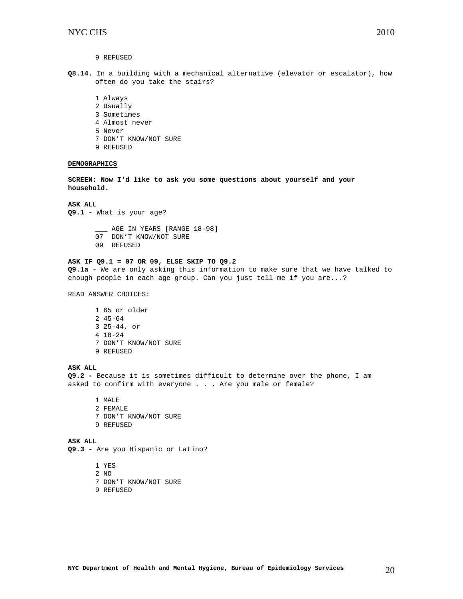9 REFUSED

- **Q8.14.** In a building with a mechanical alternative (elevator or escalator), how often do you take the stairs?
	- 1 Always
	- 2 Usually
	- 3 Sometimes
	- 4 Almost never
	- 5 Never
	- 7 DON'T KNOW/NOT SURE
	- 9 REFUSED

### **DEMOGRAPHICS**

**SCREEN: Now I'd like to ask you some questions about yourself and your household.**

**ASK ALL**

**Q9.1 -** What is your age?

\_\_\_ AGE IN YEARS [RANGE 18-98] 07 DON'T KNOW/NOT SURE 09 REFUSED

### **ASK IF Q9.1 = 07 OR 09, ELSE SKIP TO Q9.2**

**Q9.1a -** We are only asking this information to make sure that we have talked to enough people in each age group. Can you just tell me if you are...?

READ ANSWER CHOICES:

1 65 or older 2 45-64 3 25-44, or 4 18-24 7 DON'T KNOW/NOT SURE 9 REFUSED

### **ASK ALL**

**Q9.2 -** Because it is sometimes difficult to determine over the phone, I am asked to confirm with everyone . . . Are you male or female?

- 1 MALE 2 FEMALE 7 DON'T KNOW/NOT SURE
- 9 REFUSED

```
ASK ALL
```
**Q9.3 -** Are you Hispanic or Latino?

- 1 YES
- 2 NO
- 7 DON'T KNOW/NOT SURE
- 9 REFUSED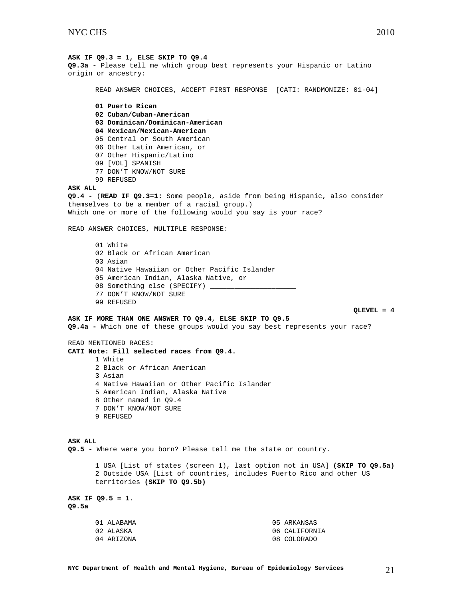**ASK IF Q9.3 = 1, ELSE SKIP TO Q9.4 Q9.3a -** Please tell me which group best represents your Hispanic or Latino origin or ancestry: READ ANSWER CHOICES, ACCEPT FIRST RESPONSE [CATI: RANDMONIZE: 01-04] **01 Puerto Rican 02 Cuban/Cuban-American 03 Dominican/Dominican-American 04 Mexican/Mexican-American**  05 Central or South American 06 Other Latin American, or 07 Other Hispanic/Latino 09 [VOL] SPANISH 77 DON'T KNOW/NOT SURE 99 REFUSED **ASK ALL Q9.4 -** (**READ IF Q9.3=1:** Some people, aside from being Hispanic, also consider themselves to be a member of a racial group.) Which one or more of the following would you say is your race? READ ANSWER CHOICES, MULTIPLE RESPONSE: 01 White 02 Black or African American 03 Asian 04 Native Hawaiian or Other Pacific Islander 05 American Indian, Alaska Native, or 08 Something else (SPECIFY) \_ 77 DON'T KNOW/NOT SURE 99 REFUSED **QLEVEL = 4 ASK IF MORE THAN ONE ANSWER TO Q9.4, ELSE SKIP TO Q9.5 Q9.4a -** Which one of these groups would you say best represents your race? READ MENTIONED RACES: **CATI Note: Fill selected races from Q9.4.** 1 White 2 Black or African American 3 Asian 4 Native Hawaiian or Other Pacific Islander 5 American Indian, Alaska Native 8 Other named in Q9.4 7 DON'T KNOW/NOT SURE 9 REFUSED **ASK ALL Q9.5 -** Where were you born? Please tell me the state or country. 1 USA [List of states (screen 1), last option not in USA] **(SKIP TO Q9.5a)** 2 Outside USA [List of countries, includes Puerto Rico and other US territories **(SKIP TO Q9.5b) ASK IF Q9.5 = 1. Q9.5a**

|                                       | 05 ARKANSAS   |
|---------------------------------------|---------------|
|                                       | 06 CALIFORNIA |
|                                       | 08 COLORADO   |
| 01 ALABAMA<br>02 ALASKA<br>04 ARIZONA |               |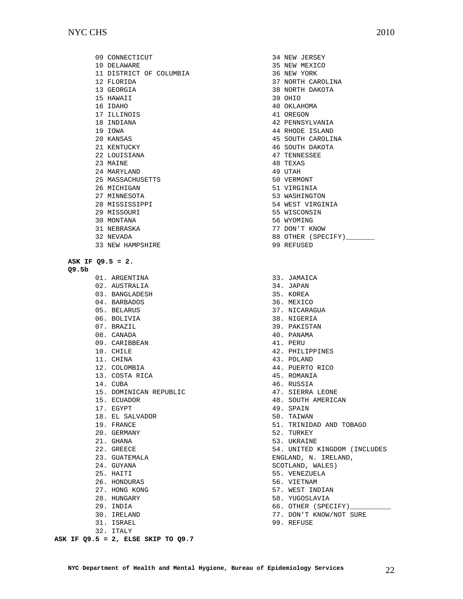09 CONNECTICUT 10 DELAWARE 11 DISTRICT OF COLUMBIA 12 FLORIDA 13 GEORGIA 15 HAWAII 16 IDAHO 17 ILLINOIS 18 INDIANA 19 IOWA 20 KANSAS 21 KENTUCKY 22 LOUISIANA 23 MAINE 24 MARYLAND 25 MASSACHUSETTS 26 MICHIGAN 27 MINNESOTA 28 MISSISSIPPI 29 MISSOURI 30 MONTANA 31 NEBRASKA 32 NEVADA 33 NEW HAMPSHIRE **ASK IF Q9.5 = 2. Q9.5b** 01. ARGENTINA 02. AUSTRALIA 03. BANGLADESH 04. BARBADOS 05. BELARUS 06. BOLIVIA 07. BRAZIL 08. CANADA 09. CARIBBEAN 10. CHILE 11. CHINA 12. COLOMBIA 13. COSTA RICA 14. CUBA 15. DOMINICAN REPUBLIC 15. ECUADOR 17. EGYPT 18. EL SALVADOR 19. FRANCE 20. GERMANY 21. GHANA 22. GREECE 23. GUATEMALA 24. GUYANA 25. HAITI 26. HONDURAS 27. HONG KONG 28. HUNGARY 29. INDIA 30. IRELAND 31. ISRAEL 32. ITALY

**ASK IF Q9.5 = 2, ELSE SKIP TO Q9.7**

34 NEW JERSEY 35 NEW MEXICO 36 NEW YORK 37 NORTH CAROLINA 38 NORTH DAKOTA 39 OHIO 40 OKLAHOMA 41 OREGON 42 PENNSYLVANIA 44 RHODE ISLAND 45 SOUTH CAROLINA 46 SOUTH DAKOTA 47 TENNESSEE 48 TEXAS 49 UTAH 50 VERMONT 51 VIRGINIA 53 WASHINGTON 54 WEST VIRGINIA 55 WISCONSIN 56 WYOMING 77 DON'T KNOW 88 OTHER (SPECIFY)\_\_\_\_\_\_\_

99 REFUSED

33. JAMAICA 34. JAPAN 35. KOREA 36. MEXICO 37. NICARAGUA 38. NIGERIA 39. PAKISTAN 40. PANAMA 41. PERU 42. PHILIPPINES 43. POLAND 44. PUERTO RICO 45. ROMANIA 46. RUSSIA 47. SIERRA LEONE 48. SOUTH AMERICAN 49. SPAIN 50. TAIWAN 51. TRINIDAD AND TOBAGO 52. TURKEY 53. UKRAINE 54. UNITED KINGDOM (INCLUDES ENGLAND, N. IRELAND, SCOTLAND, WALES) 55. VENEZUELA 56. VIETNAM 57. WEST INDIAN 58. YUGOSLAVIA 66. OTHER (SPECIFY)\_\_\_\_\_\_\_\_\_\_ 77. DON'T KNOW/NOT SURE

99. REFUSE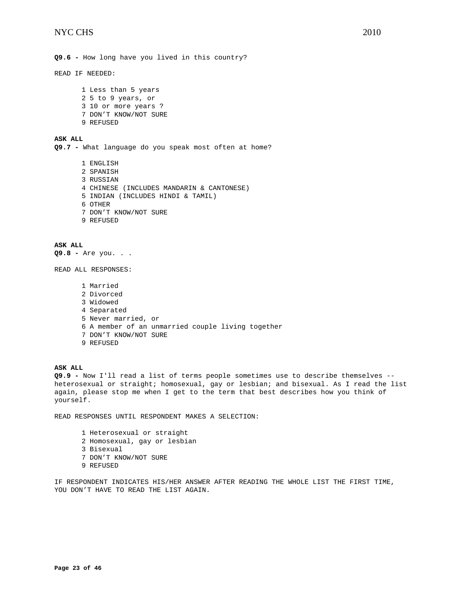### NYC CHS 2010

**Q9.6 -** How long have you lived in this country?

READ IF NEEDED:

1 Less than 5 years 2 5 to 9 years, or 3 10 or more years ? 7 DON'T KNOW/NOT SURE 9 REFUSED

**ASK ALL**

**Q9.7 -** What language do you speak most often at home?

1 ENGLISH 2 SPANISH 3 RUSSIAN 4 CHINESE (INCLUDES MANDARIN & CANTONESE) 5 INDIAN (INCLUDES HINDI & TAMIL) 6 OTHER 7 DON'T KNOW/NOT SURE 9 REFUSED

**ASK ALL Q9.8 -** Are you. . .

READ ALL RESPONSES:

1 Married 2 Divorced 3 Widowed 4 Separated 5 Never married, or 6 A member of an unmarried couple living together 7 DON'T KNOW/NOT SURE 9 REFUSED

### **ASK ALL**

**Q9.9 -** Now I'll read a list of terms people sometimes use to describe themselves - heterosexual or straight; homosexual, gay or lesbian; and bisexual. As I read the list again, please stop me when I get to the term that best describes how you think of yourself.

READ RESPONSES UNTIL RESPONDENT MAKES A SELECTION:

- 1 Heterosexual or straight
- 2 Homosexual, gay or lesbian
- 3 Bisexual
- 7 DON'T KNOW/NOT SURE
- 9 REFUSED

IF RESPONDENT INDICATES HIS/HER ANSWER AFTER READING THE WHOLE LIST THE FIRST TIME, YOU DON'T HAVE TO READ THE LIST AGAIN.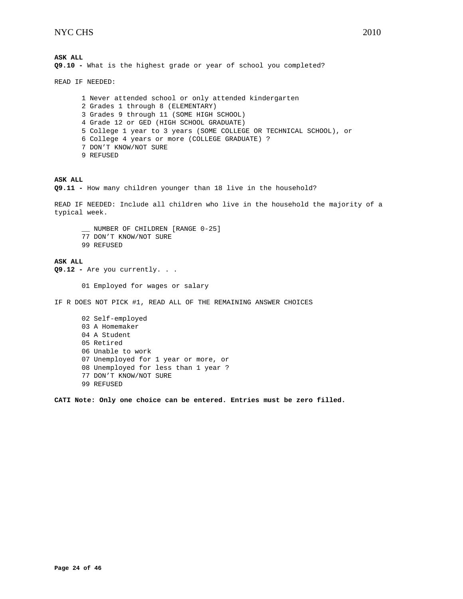**ASK ALL Q9.10 -** What is the highest grade or year of school you completed? READ IF NEEDED: 1 Never attended school or only attended kindergarten 2 Grades 1 through 8 (ELEMENTARY) 3 Grades 9 through 11 (SOME HIGH SCHOOL) 4 Grade 12 or GED (HIGH SCHOOL GRADUATE) 5 College 1 year to 3 years (SOME COLLEGE OR TECHNICAL SCHOOL), or 6 College 4 years or more (COLLEGE GRADUATE) ? 7 DON'T KNOW/NOT SURE 9 REFUSED **ASK ALL Q9.11 -** How many children younger than 18 live in the household? READ IF NEEDED: Include all children who live in the household the majority of a typical week. \_\_ NUMBER OF CHILDREN [RANGE 0-25] 77 DON'T KNOW/NOT SURE 99 REFUSED **ASK ALL Q9.12 -** Are you currently. . . 01 Employed for wages or salary IF R DOES NOT PICK #1, READ ALL OF THE REMAINING ANSWER CHOICES 02 Self-employed 03 A Homemaker 04 A Student 05 Retired 06 Unable to work 07 Unemployed for 1 year or more, or 08 Unemployed for less than 1 year ? 77 DON'T KNOW/NOT SURE

99 REFUSED

**CATI Note: Only one choice can be entered. Entries must be zero filled.**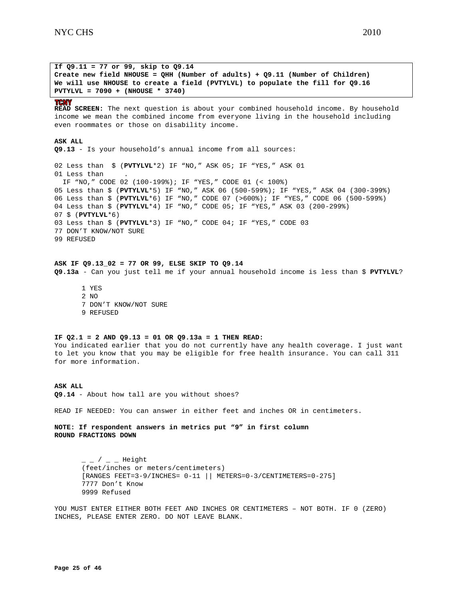**If Q9.11 = 77 or 99, skip to Q9.14 Create new field NHOUSE = QHH (Number of adults) + Q9.11 (Number of Children) We will use NHOUSE to create a field (PVTYLVL) to populate the fill for Q9.16 PVTYLVL = 7090 + (NHOUSE \* 3740) TCNY READ SCREEN:** The next question is about your combined household income. By household income we mean the combined income from everyone living in the household including even roommates or those on disability income. **ASK ALL Q9.13** - Is your household's annual income from all sources: 02 Less than \$ (**PVTYLVL**\*2) IF "NO," ASK 05; IF "YES," ASK 01 01 Less than IF "NO," CODE 02 (100-199%); IF "YES," CODE 01 (< 100%) 05 Less than \$ (**PVTYLVL**\*5) IF "NO," ASK 06 (500-599%); IF "YES," ASK 04 (300-399%) 06 Less than \$ (**PVTYLVL**\*6) IF "NO," CODE 07 (>600%); IF "YES," CODE 06 (500-599%) 04 Less than \$ (**PVTYLVL**\*4) IF "NO," CODE 05; IF "YES," ASK 03 (200-299%) 07 \$ (**PVTYLVL**\*6) 03 Less than \$ (**PVTYLVL**\*3) IF "NO," CODE 04; IF "YES," CODE 03 77 DON'T KNOW/NOT SURE 99 REFUSED

### **ASK IF Q9.13\_02 = 77 OR 99, ELSE SKIP TO Q9.14**

**Q9.13a** - Can you just tell me if your annual household income is less than \$ **PVTYLVL**?

1 YES 2  $N<sub>O</sub>$ 7 DON'T KNOW/NOT SURE 9 REFUSED

### **IF Q2.1 = 2 AND Q9.13 = 01 OR Q9.13a = 1 THEN READ:**

You indicated earlier that you do not currently have any health coverage. I just want to let you know that you may be eligible for free health insurance. You can call 311 for more information.

### **ASK ALL**

**Q9.14** - About how tall are you without shoes?

READ IF NEEDED: You can answer in either feet and inches OR in centimeters.

**NOTE: If respondent answers in metrics put "9" in first column ROUND FRACTIONS DOWN**

> $/$   $-$  Height (feet/inches or meters/centimeters) [RANGES FEET=3-9/INCHES= 0-11 || METERS=0-3/CENTIMETERS=0-275] 7777 Don't Know 9999 Refused

YOU MUST ENTER EITHER BOTH FEET AND INCHES OR CENTIMETERS – NOT BOTH. IF 0 (ZERO) INCHES, PLEASE ENTER ZERO. DO NOT LEAVE BLANK.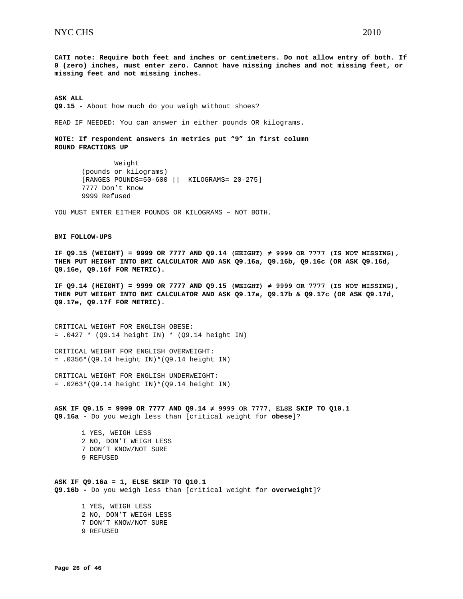**CATI note: Require both feet and inches or centimeters. Do not allow entry of both. If 0 (zero) inches, must enter zero. Cannot have missing inches and not missing feet, or missing feet and not missing inches.** 

**ASK ALL Q9.15** - About how much do you weigh without shoes?

READ IF NEEDED: You can answer in either pounds OR kilograms.

**NOTE: If respondent answers in metrics put "9" in first column ROUND FRACTIONS UP**

> $-$  Weight (pounds or kilograms) [RANGES POUNDS=50-600 || KILOGRAMS= 20-275] 7777 Don't Know 9999 Refused

YOU MUST ENTER EITHER POUNDS OR KILOGRAMS – NOT BOTH.

### **BMI FOLLOW-UPS**

**IF Q9.15 (WEIGHT) = 9999 OR 7777 AND Q9.14 (HEIGHT) ≠ 9999 OR 7777 (IS NOT MISSING), THEN PUT HEIGHT INTO BMI CALCULATOR AND ASK Q9.16a, Q9.16b, Q9.16c (OR ASK Q9.16d, Q9.16e, Q9.16f FOR METRIC).**

**IF Q9.14 (HEIGHT) = 9999 OR 7777 AND Q9.15 (WEIGHT) ≠ 9999 OR 7777 (IS NOT MISSING), THEN PUT WEIGHT INTO BMI CALCULATOR AND ASK Q9.17a, Q9.17b & Q9.17c (OR ASK Q9.17d, Q9.17e, Q9.17f FOR METRIC).**

CRITICAL WEIGHT FOR ENGLISH OBESE: = .0427 \* (Q9.14 height IN) \* (Q9.14 height IN)

CRITICAL WEIGHT FOR ENGLISH OVERWEIGHT: = .0356\*(Q9.14 height IN)\*(Q9.14 height IN)

CRITICAL WEIGHT FOR ENGLISH UNDERWEIGHT: = .0263\*(Q9.14 height IN)\*(Q9.14 height IN)

**ASK IF Q9.15 = 9999 OR 7777 AND Q9.14 ≠ 9999 OR 7777, ELSE SKIP TO Q10.1 Q9.16a -** Do you weigh less than [critical weight for **obese**]?

1 YES, WEIGH LESS 2 NO, DON'T WEIGH LESS 7 DON'T KNOW/NOT SURE 9 REFUSED

**ASK IF Q9.16a = 1, ELSE SKIP TO Q10.1 Q9.16b -** Do you weigh less than [critical weight for **overweight**]?

> 1 YES, WEIGH LESS 2 NO, DON'T WEIGH LESS 7 DON'T KNOW/NOT SURE 9 REFUSED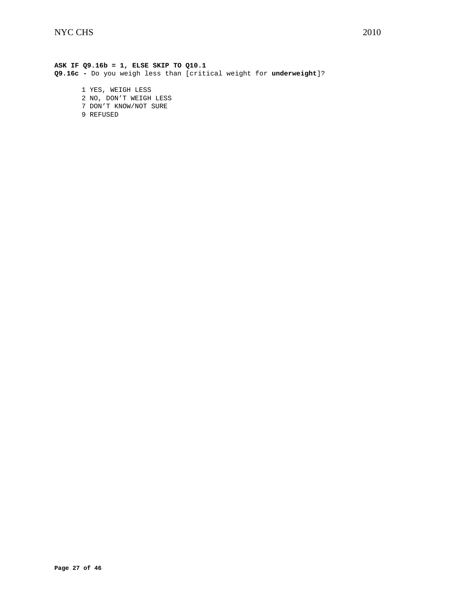### **ASK IF Q9.16b = 1, ELSE SKIP TO Q10.1**

**Q9.16c -** Do you weigh less than [critical weight for **underweight**]?

- 1 YES, WEIGH LESS
- 2 NO, DON'T WEIGH LESS
- 7 DON'T KNOW/NOT SURE
- 9 REFUSED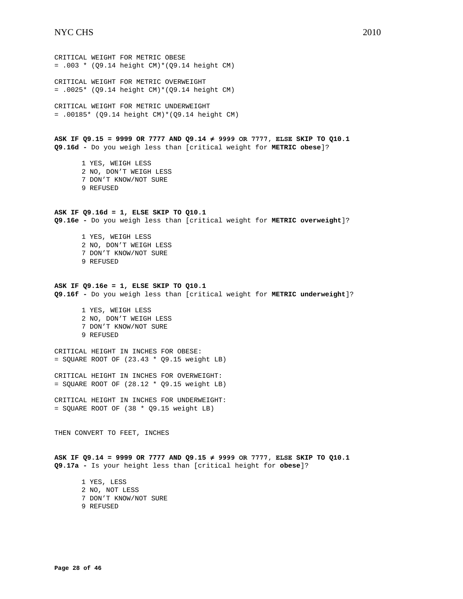CRITICAL WEIGHT FOR METRIC OBESE  $= .003 * (Q9.14 height CM) * (Q9.14 height CM)$ 

CRITICAL WEIGHT FOR METRIC OVERWEIGHT = .0025\* (Q9.14 height CM)\*(Q9.14 height CM)

CRITICAL WEIGHT FOR METRIC UNDERWEIGHT = .00185\* (Q9.14 height CM)\*(Q9.14 height CM)

**ASK IF Q9.15 = 9999 OR 7777 AND Q9.14 ≠ 9999 OR 7777, ELSE SKIP TO Q10.1 Q9.16d -** Do you weigh less than [critical weight for **METRIC obese**]?

1 YES, WEIGH LESS 2 NO, DON'T WEIGH LESS 7 DON'T KNOW/NOT SURE 9 REFUSED

### **ASK IF Q9.16d = 1, ELSE SKIP TO Q10.1**

**Q9.16e -** Do you weigh less than [critical weight for **METRIC overweight**]?

1 YES, WEIGH LESS 2 NO, DON'T WEIGH LESS 7 DON'T KNOW/NOT SURE 9 REFUSED

### **ASK IF Q9.16e = 1, ELSE SKIP TO Q10.1 Q9.16f -** Do you weigh less than [critical weight for **METRIC underweight**]?

1 YES, WEIGH LESS 2 NO, DON'T WEIGH LESS 7 DON'T KNOW/NOT SURE 9 REFUSED

CRITICAL HEIGHT IN INCHES FOR OBESE:  $=$  SQUARE ROOT OF (23.43  $*$  Q9.15 weight LB)

CRITICAL HEIGHT IN INCHES FOR OVERWEIGHT:  $=$  SQUARE ROOT OF (28.12  $*$  Q9.15 weight LB)

CRITICAL HEIGHT IN INCHES FOR UNDERWEIGHT:  $=$  SQUARE ROOT OF (38  $*$  Q9.15 weight LB)

THEN CONVERT TO FEET, INCHES

**ASK IF Q9.14 = 9999 OR 7777 AND Q9.15 ≠ 9999 OR 7777, ELSE SKIP TO Q10.1 Q9.17a -** Is your height less than [critical height for **obese**]?

1 YES, LESS 2 NO, NOT LESS 7 DON'T KNOW/NOT SURE 9 REFUSED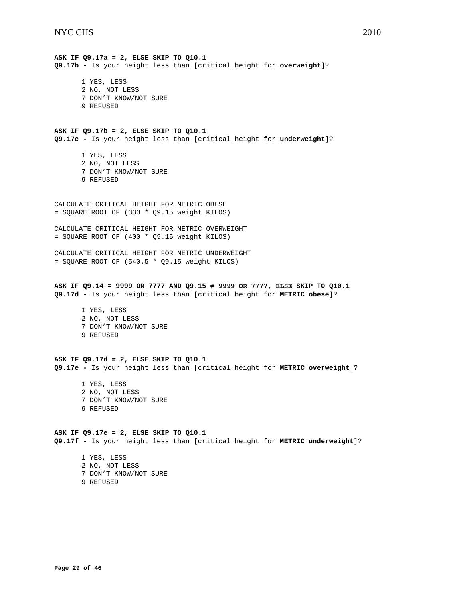**ASK IF Q9.17a = 2, ELSE SKIP TO Q10.1 Q9.17b -** Is your height less than [critical height for **overweight**]? 1 YES, LESS 2 NO, NOT LESS 7 DON'T KNOW/NOT SURE 9 REFUSED **ASK IF Q9.17b = 2, ELSE SKIP TO Q10.1 Q9.17c -** Is your height less than [critical height for **underweight**]? 1 YES, LESS 2 NO, NOT LESS 7 DON'T KNOW/NOT SURE 9 REFUSED CALCULATE CRITICAL HEIGHT FOR METRIC OBESE = SQUARE ROOT OF (333 \* Q9.15 weight KILOS) CALCULATE CRITICAL HEIGHT FOR METRIC OVERWEIGHT = SQUARE ROOT OF (400 \* Q9.15 weight KILOS) CALCULATE CRITICAL HEIGHT FOR METRIC UNDERWEIGHT = SQUARE ROOT OF (540.5 \* Q9.15 weight KILOS) **ASK IF Q9.14 = 9999 OR 7777 AND Q9.15 ≠ 9999 OR 7777, ELSE SKIP TO Q10.1 Q9.17d -** Is your height less than [critical height for **METRIC obese**]? 1 YES, LESS 2 NO, NOT LESS 7 DON'T KNOW/NOT SURE 9 REFUSED

**ASK IF Q9.17d = 2, ELSE SKIP TO Q10.1 Q9.17e -** Is your height less than [critical height for **METRIC overweight**]?

1 YES, LESS 2 NO, NOT LESS 7 DON'T KNOW/NOT SURE 9 REFUSED

**ASK IF Q9.17e = 2, ELSE SKIP TO Q10.1 Q9.17f -** Is your height less than [critical height for **METRIC underweight**]?

1 YES, LESS 2 NO, NOT LESS 7 DON'T KNOW/NOT SURE 9 REFUSED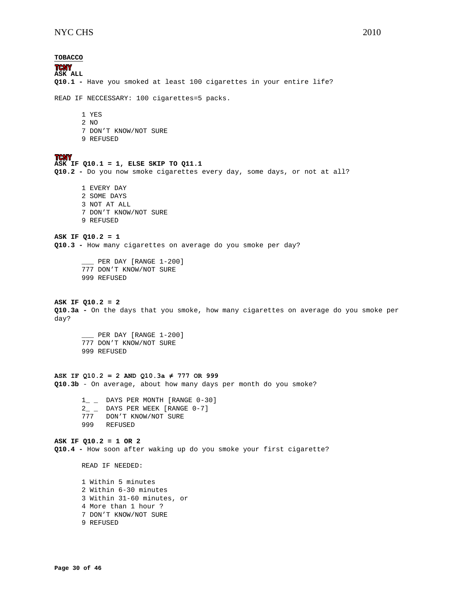**TOBACCO TCNY ASK ALL Q10.1 -** Have you smoked at least 100 cigarettes in your entire life? READ IF NECCESSARY: 100 cigarettes=5 packs. 1 YES 2 NO 7 DON'T KNOW/NOT SURE 9 REFUSED **TCNY ASK IF Q10.1 = 1, ELSE SKIP TO Q11.1 Q10.2 -** Do you now smoke cigarettes every day, some days, or not at all? 1 EVERY DAY 2 SOME DAYS 3 NOT AT ALL 7 DON'T KNOW/NOT SURE 9 REFUSED **ASK IF Q10.2 = 1 Q10.3 -** How many cigarettes on average do you smoke per day? PER DAY [RANGE 1-200] 777 DON'T KNOW/NOT SURE 999 REFUSED **ASK IF Q10.2 = 2 Q10.3a -** On the days that you smoke, how many cigarettes on average do you smoke per day? \_\_\_ PER DAY [RANGE 1-200] 777 DON'T KNOW/NOT SURE 999 REFUSED **ASK IF Q10.2 = 2 AND Q10.3a ≠ 777 OR 999 Q10.3b** - On average, about how many days per month do you smoke? 1\_ \_ DAYS PER MONTH [RANGE 0-30] 2\_ \_ DAYS PER WEEK [RANGE 0-7] 777 DON'T KNOW/NOT SURE 999 REFUSED **ASK IF Q10.2 = 1 OR 2 Q10.4 -** How soon after waking up do you smoke your first cigarette? READ IF NEEDED: 1 Within 5 minutes 2 Within 6-30 minutes 3 Within 31-60 minutes, or 4 More than 1 hour ? 7 DON'T KNOW/NOT SURE 9 REFUSED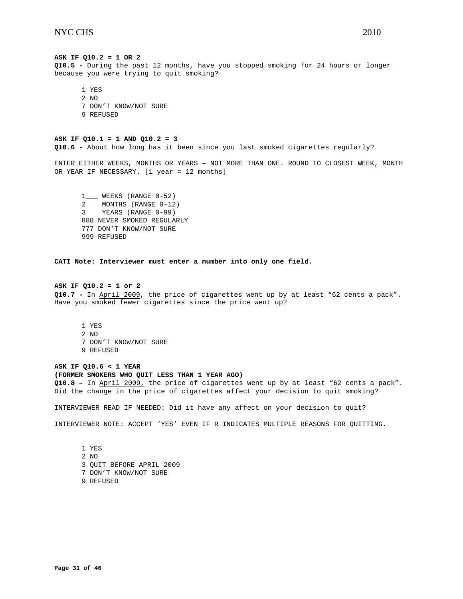### NYC CHS 2010

**ASK IF Q10.2 = 1 OR 2 Q10.5 -** During the past 12 months, have you stopped smoking for 24 hours or longer because you were trying to quit smoking?

1 YES 2 NO 7 DON'T KNOW/NOT SURE 9 REFUSED

### **ASK IF Q10.1 = 1 AND Q10.2 = 3**

**Q10.6 -** About how long has it been since you last smoked cigarettes regularly?

ENTER EITHER WEEKS, MONTHS OR YEARS – NOT MORE THAN ONE. ROUND TO CLOSEST WEEK, MONTH OR YEAR IF NECESSARY. [1 year = 12 months]

1\_\_\_ WEEKS (RANGE 0-52) 2\_\_\_ MONTHS (RANGE 0-12) 3\_\_\_ YEARS (RANGE 0-99) 888 NEVER SMOKED REGULARLY 777 DON'T KNOW/NOT SURE 999 REFUSED

### **CATI Note: Interviewer must enter a number into only one field.**

**ASK IF Q10.2 = 1 or 2 Q10.7 -** In April 2009, the price of cigarettes went up by at least "62 cents a pack". Have you smoked fewer cigarettes since the price went up?

1 YES 2 NO 7 DON'T KNOW/NOT SURE 9 REFUSED

### **ASK IF Q10.6 < 1 YEAR (FORMER SMOKERS WHO QUIT LESS THAN 1 YEAR AGO)**

**Q10.8 –** In April 2009, the price of cigarettes went up by at least "62 cents a pack". Did the change in the price of cigarettes affect your decision to quit smoking?

INTERVIEWER READ IF NEEDED: Did it have any affect on your decision to quit?

INTERVIEWER NOTE: ACCEPT 'YES' EVEN IF R INDICATES MULTIPLE REASONS FOR QUITTING.

1 YES 2 NO 3 QUIT BEFORE APRIL 2009 7 DON'T KNOW/NOT SURE 9 REFUSED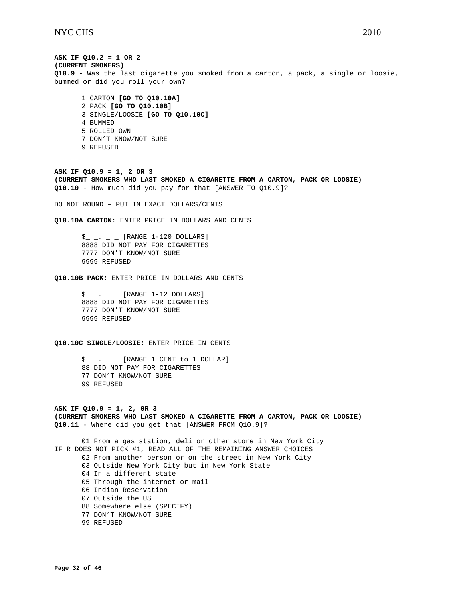**ASK IF Q10.2 = 1 OR 2 (CURRENT SMOKERS) Q10.9** - Was the last cigarette you smoked from a carton, a pack, a single or loosie, bummed or did you roll your own?

1 CARTON **[GO TO Q10.10A]** 2 PACK **[GO TO Q10.10B]** 3 SINGLE/LOOSIE **[GO TO Q10.10C]** 4 BUMMED 5 ROLLED OWN 7 DON'T KNOW/NOT SURE 9 REFUSED

**ASK IF Q10.9 = 1, 2 OR 3 (CURRENT SMOKERS WHO LAST SMOKED A CIGARETTE FROM A CARTON, PACK OR LOOSIE) Q10.10** - How much did you pay for that [ANSWER TO Q10.9]?

DO NOT ROUND – PUT IN EXACT DOLLARS/CENTS

**Q10.10A CARTON:** ENTER PRICE IN DOLLARS AND CENTS

 $\frac{1}{2}$   $\ldots$   $\ldots$  [RANGE 1-120 DOLLARS] 8888 DID NOT PAY FOR CIGARETTES 7777 DON'T KNOW/NOT SURE 9999 REFUSED

**Q10.10B PACK:** ENTER PRICE IN DOLLARS AND CENTS

 $\zeta$ <sub>--</sub>- [RANGE 1-12 DOLLARS] 8888 DID NOT PAY FOR CIGARETTES 7777 DON'T KNOW/NOT SURE 9999 REFUSED

**Q10.10C SINGLE/LOOSIE**: ENTER PRICE IN CENTS

 $\zeta$  \_ \_ \_ \_ [RANGE 1 CENT to 1 DOLLAR] 88 DID NOT PAY FOR CIGARETTES 77 DON'T KNOW/NOT SURE 99 REFUSED

**ASK IF Q10.9 = 1, 2, 0R 3 (CURRENT SMOKERS WHO LAST SMOKED A CIGARETTE FROM A CARTON, PACK OR LOOSIE) Q10.11** - Where did you get that [ANSWER FROM Q10.9]?

01 From a gas station, deli or other store in New York City IF R DOES NOT PICK #1, READ ALL OF THE REMAINING ANSWER CHOICES 02 From another person or on the street in New York City 03 Outside New York City but in New York State 04 In a different state 05 Through the internet or mail 06 Indian Reservation 07 Outside the US 88 Somewhere else (SPECIFY) \_\_\_ 77 DON'T KNOW/NOT SURE 99 REFUSED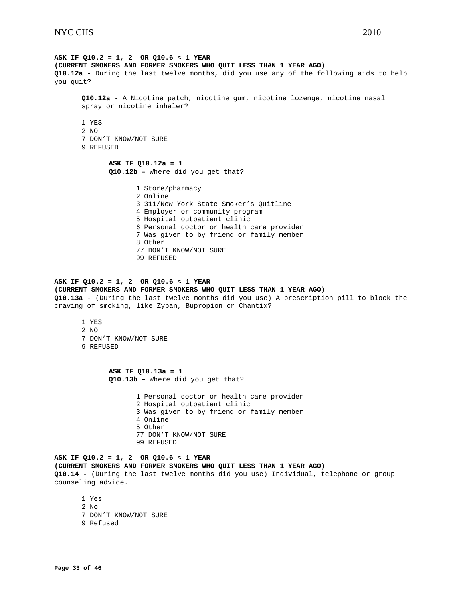**ASK IF Q10.2 = 1, 2 OR Q10.6 < 1 YEAR (CURRENT SMOKERS AND FORMER SMOKERS WHO QUIT LESS THAN 1 YEAR AGO) Q10.12a** - During the last twelve months, did you use any of the following aids to help you quit? **Q10.12a -** A Nicotine patch, nicotine gum, nicotine lozenge, nicotine nasal spray or nicotine inhaler? 1 YES 2 NO 7 DON'T KNOW/NOT SURE 9 REFUSED **ASK IF Q10.12a = 1 Q10.12b –** Where did you get that? 1 Store/pharmacy 2 Online 3 311/New York State Smoker's Quitline 4 Employer or community program 5 Hospital outpatient clinic 6 Personal doctor or health care provider 7 Was given to by friend or family member 8 Other 77 DON'T KNOW/NOT SURE 99 REFUSED **ASK IF Q10.2 = 1, 2 OR Q10.6 < 1 YEAR (CURRENT SMOKERS AND FORMER SMOKERS WHO QUIT LESS THAN 1 YEAR AGO) Q10.13a** - (During the last twelve months did you use) A prescription pill to block the craving of smoking, like Zyban, Bupropion or Chantix? 1 YES 2 NO 7 DON'T KNOW/NOT SURE 9 REFUSED **ASK IF Q10.13a = 1 Q10.13b –** Where did you get that? 1 Personal doctor or health care provider 2 Hospital outpatient clinic 3 Was given to by friend or family member 4 Online 5 Other 77 DON'T KNOW/NOT SURE 99 REFUSED

**ASK IF Q10.2 = 1, 2 OR Q10.6 < 1 YEAR (CURRENT SMOKERS AND FORMER SMOKERS WHO QUIT LESS THAN 1 YEAR AGO) Q10.14 -** (During the last twelve months did you use) Individual, telephone or group counseling advice.

1 Yes 2  $N<sub>0</sub>$ 7 DON'T KNOW/NOT SURE 9 Refused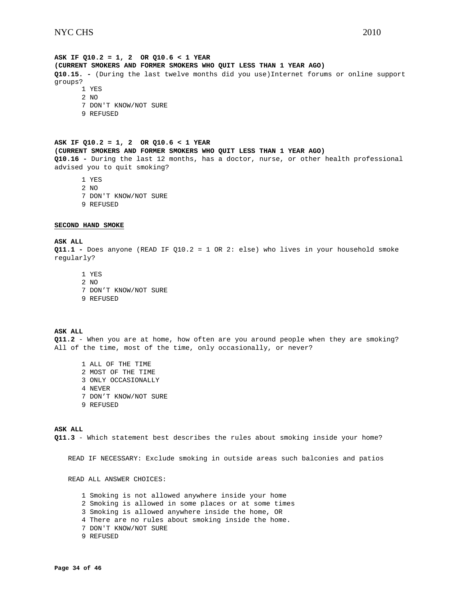**ASK IF Q10.2 = 1, 2 OR Q10.6 < 1 YEAR (CURRENT SMOKERS AND FORMER SMOKERS WHO QUIT LESS THAN 1 YEAR AGO) Q10.15. -** (During the last twelve months did you use)Internet forums or online support groups? 1 YES 2 NO

- 7 DON'T KNOW/NOT SURE 9 REFUSED
- **ASK IF Q10.2 = 1, 2 OR Q10.6 < 1 YEAR**

**(CURRENT SMOKERS AND FORMER SMOKERS WHO QUIT LESS THAN 1 YEAR AGO)** 

**Q10.16 -** During the last 12 months, has a doctor, nurse, or other health professional advised you to quit smoking?

- 1 YES
- 2 NO
- 7 DON'T KNOW/NOT SURE
- 9 REFUSED

### **SECOND HAND SMOKE**

### **ASK ALL**

**Q11.1 -** Does anyone (READ IF Q10.2 = 1 OR 2: else) who lives in your household smoke regularly?

1 YES 2  $N<sub>O</sub>$ 7 DON'T KNOW/NOT SURE 9 REFUSED

**ASK ALL Q11.2** - When you are at home, how often are you around people when they are smoking? All of the time, most of the time, only occasionally, or never?

1 ALL OF THE TIME 2 MOST OF THE TIME 3 ONLY OCCASIONALLY 4 NEVER 7 DON'T KNOW/NOT SURE 9 REFUSED

**ASK ALL Q11.3** - Which statement best describes the rules about smoking inside your home?

READ IF NECESSARY: Exclude smoking in outside areas such balconies and patios

READ ALL ANSWER CHOICES:

1 Smoking is not allowed anywhere inside your home 2 Smoking is allowed in some places or at some times 3 Smoking is allowed anywhere inside the home, OR 4 There are no rules about smoking inside the home. 7 DON'T KNOW/NOT SURE 9 REFUSED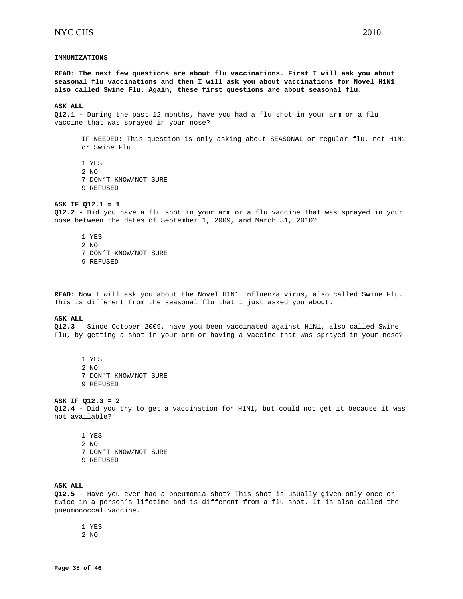### **IMMUNIZATIONS**

**READ: The next few questions are about flu vaccinations. First I will ask you about seasonal flu vaccinations and then I will ask you about vaccinations for Novel H1N1 also called Swine Flu. Again, these first questions are about seasonal flu.**

**ASK ALL**

**Q12.1 -** During the past 12 months, have you had a flu shot in your arm or a flu vaccine that was sprayed in your nose?

IF NEEDED: This question is only asking about SEASONAL or regular flu, not H1N1 or Swine Flu

1 YES 2 NO 7 DON'T KNOW/NOT SURE 9 REFUSED

### **ASK IF Q12.1 = 1**

**Q12.2 -** Did you have a flu shot in your arm or a flu vaccine that was sprayed in your nose between the dates of September 1, 2009, and March 31, 2010?

1 YES 2 NO 7 DON'T KNOW/NOT SURE 9 REFUSED

**READ:** Now I will ask you about the Novel H1N1 Influenza virus, also called Swine Flu. This is different from the seasonal flu that I just asked you about.

#### **ASK ALL**

**Q12.3** – Since October 2009, have you been vaccinated against H1N1, also called Swine Flu, by getting a shot in your arm or having a vaccine that was sprayed in your nose?

1 YES 2 NO 7 DON'T KNOW/NOT SURE 9 REFUSED

**ASK IF Q12.3 = 2 Q12.4 -** Did you try to get a vaccination for H1N1, but could not get it because it was not available?

1 YES 2 NO 7 DON'T KNOW/NOT SURE 9 REFUSED

### **ASK ALL**

**Q12.5** - Have you ever had a pneumonia shot? This shot is usually given only once or twice in a person's lifetime and is different from a flu shot. It is also called the pneumococcal vaccine.

1 YES

2 NO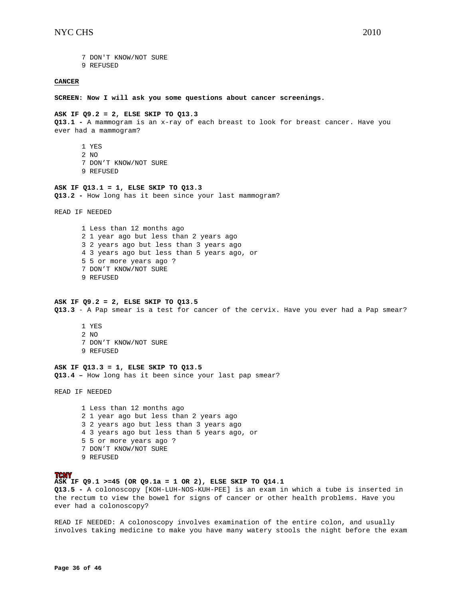7 DON'T KNOW/NOT SURE 9 REFUSED

### **CANCER**

**SCREEN: Now I will ask you some questions about cancer screenings.**

#### **ASK IF Q9.2 = 2, ELSE SKIP TO Q13.3**

**Q13.1 -** A mammogram is an x-ray of each breast to look for breast cancer. Have you ever had a mammogram?

1 YES 2  $N<sub>O</sub>$ 7 DON'T KNOW/NOT SURE 9 REFUSED

### **ASK IF Q13.1 = 1, ELSE SKIP TO Q13.3**

**Q13.2 -** How long has it been since your last mammogram?

READ IF NEEDED

1 Less than 12 months ago 2 1 year ago but less than 2 years ago 3 2 years ago but less than 3 years ago 4 3 years ago but less than 5 years ago, or 5 5 or more years ago ? 7 DON'T KNOW/NOT SURE 9 REFUSED

### **ASK IF Q9.2 = 2, ELSE SKIP TO Q13.5**

**Q13.3** - A Pap smear is a test for cancer of the cervix. Have you ever had a Pap smear?

1 YES 2 NO 7 DON'T KNOW/NOT SURE 9 REFUSED

### **ASK IF Q13.3 = 1, ELSE SKIP TO Q13.5**

**Q13.4 –** How long has it been since your last pap smear?

READ IF NEEDED

1 Less than 12 months ago 2 1 year ago but less than 2 years ago 3 2 years ago but less than 3 years ago 4 3 years ago but less than 5 years ago, or 5 5 or more years ago ? 7 DON'T KNOW/NOT SURE 9 REFUSED

### **TCNY**

**ASK IF Q9.1 >=45 (OR Q9.1a = 1 OR 2), ELSE SKIP TO Q14.1**

**Q13.5 -** A colonoscopy [KOH-LUH-NOS-KUH-PEE] is an exam in which a tube is inserted in the rectum to view the bowel for signs of cancer or other health problems. Have you ever had a colonoscopy?

READ IF NEEDED: A colonoscopy involves examination of the entire colon, and usually involves taking medicine to make you have many watery stools the night before the exam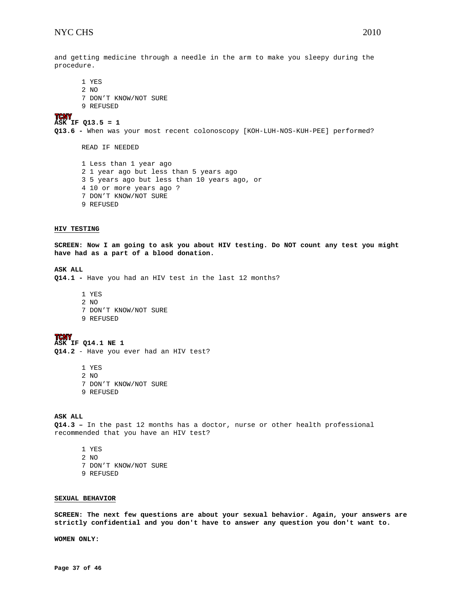and getting medicine through a needle in the arm to make you sleepy during the procedure.

1 YES 2 NO 7 DON'T KNOW/NOT SURE 9 REFUSED

**TCNY**<br>ASK IF Q13.5 = 1 **Q13.6 -** When was your most recent colonoscopy [KOH-LUH-NOS-KUH-PEE] performed?

READ IF NEEDED

1 Less than 1 year ago 2 1 year ago but less than 5 years ago 3 5 years ago but less than 10 years ago, or 4 10 or more years ago ? 7 DON'T KNOW/NOT SURE 9 REFUSED

### **HIV TESTING**

**SCREEN: Now I am going to ask you about HIV testing. Do NOT count any test you might have had as a part of a blood donation.**

**ASK ALL**

**Q14.1 -** Have you had an HIV test in the last 12 months?

1 YES 2 NO 7 DON'T KNOW/NOT SURE 9 REFUSED

### **TCNY**

**ASK IF Q14.1 NE 1**

**Q14.2** - Have you ever had an HIV test?

- 1 YES
- 2 NO
- 7 DON'T KNOW/NOT SURE
- 9 REFUSED

### **ASK ALL**

**Q14.3 –** In the past 12 months has a doctor, nurse or other health professional recommended that you have an HIV test?

- 1 YES 2 NO
- 7 DON'T KNOW/NOT SURE
- 9 REFUSED

### **SEXUAL BEHAVIOR**

**SCREEN: The next few questions are about your sexual behavior. Again, your answers are strictly confidential and you don't have to answer any question you don't want to.**

**WOMEN ONLY:**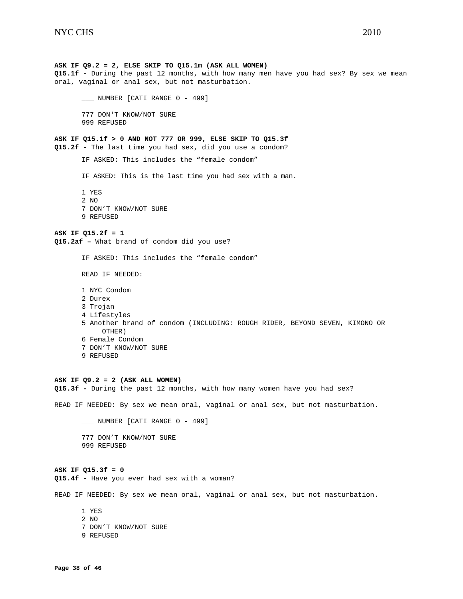### **ASK IF Q9.2 = 2, ELSE SKIP TO Q15.1m (ASK ALL WOMEN)**

**Q15.1f -** During the past 12 months, with how many men have you had sex? By sex we mean oral, vaginal or anal sex, but not masturbation.

\_\_\_ NUMBER [CATI RANGE 0 - 499]

777 DON'T KNOW/NOT SURE 999 REFUSED

### **ASK IF Q15.1f > 0 AND NOT 777 OR 999, ELSE SKIP TO Q15.3f**

**Q15.2f -** The last time you had sex, did you use a condom?

IF ASKED: This includes the "female condom"

IF ASKED: This is the last time you had sex with a man.

1 YES 2 NO 7 DON'T KNOW/NOT SURE 9 REFUSED

### **ASK IF Q15.2f = 1**

**Q15.2af –** What brand of condom did you use?

IF ASKED: This includes the "female condom"

READ IF NEEDED:

- 1 NYC Condom
- 2 Durex
- 3 Trojan
- 4 Lifestyles
- 5 Another brand of condom (INCLUDING: ROUGH RIDER, BEYOND SEVEN, KIMONO OR OTHER)
- 6 Female Condom
- 7 DON'T KNOW/NOT SURE
- 9 REFUSED

### **ASK IF Q9.2 = 2 (ASK ALL WOMEN)**

**Q15.3f -** During the past 12 months, with how many women have you had sex?

READ IF NEEDED: By sex we mean oral, vaginal or anal sex, but not masturbation.

\_\_\_ NUMBER [CATI RANGE 0 - 499]

777 DON'T KNOW/NOT SURE 999 REFUSED

### **ASK IF Q15.3f = 0**

**Q15.4f -** Have you ever had sex with a woman?

READ IF NEEDED: By sex we mean oral, vaginal or anal sex, but not masturbation.

1 YES 2 NO 7 DON'T KNOW/NOT SURE 9 REFUSED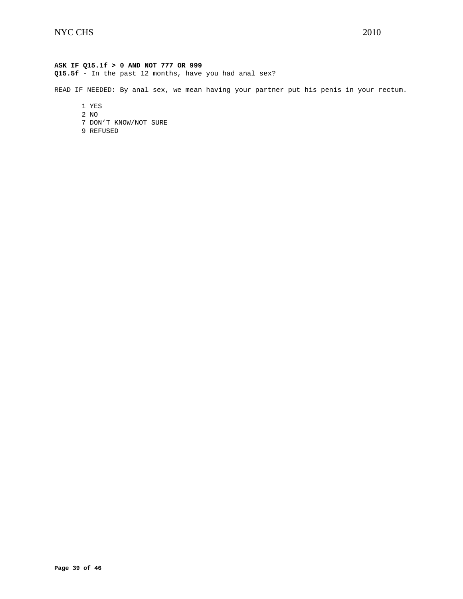### **ASK IF Q15.1f > 0 AND NOT 777 OR 999**

**Q15.5f** - In the past 12 months, have you had anal sex?

READ IF NEEDED: By anal sex, we mean having your partner put his penis in your rectum.

- 1 YES
- 2 NO
- 7 DON'T KNOW/NOT SURE
- 9 REFUSED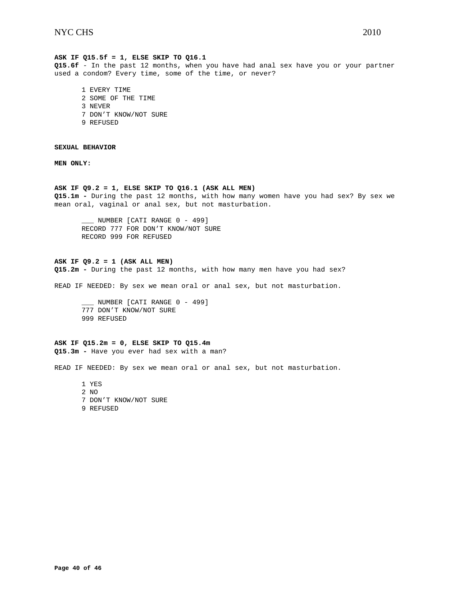### **ASK IF Q15.5f = 1, ELSE SKIP TO Q16.1**

**Q15.6f** - In the past 12 months, when you have had anal sex have you or your partner used a condom? Every time, some of the time, or never?

1 EVERY TIME 2 SOME OF THE TIME 3 NEVER 7 DON'T KNOW/NOT SURE 9 REFUSED

### **SEXUAL BEHAVIOR**

**MEN ONLY:**

### **ASK IF Q9.2 = 1, ELSE SKIP TO Q16.1 (ASK ALL MEN)**

**Q15.1m -** During the past 12 months, with how many women have you had sex? By sex we mean oral, vaginal or anal sex, but not masturbation.

\_\_\_ NUMBER [CATI RANGE 0 - 499] RECORD 777 FOR DON'T KNOW/NOT SURE RECORD 999 FOR REFUSED

### **ASK IF Q9.2 = 1 (ASK ALL MEN)**

**Q15.2m -** During the past 12 months, with how many men have you had sex?

READ IF NEEDED: By sex we mean oral or anal sex, but not masturbation.

\_\_\_ NUMBER [CATI RANGE 0 - 499] 777 DON'T KNOW/NOT SURE 999 REFUSED

### **ASK IF Q15.2m = 0, ELSE SKIP TO Q15.4m**

**Q15.3m -** Have you ever had sex with a man?

READ IF NEEDED: By sex we mean oral or anal sex, but not masturbation.

1 YES 2 NO 7 DON'T KNOW/NOT SURE 9 REFUSED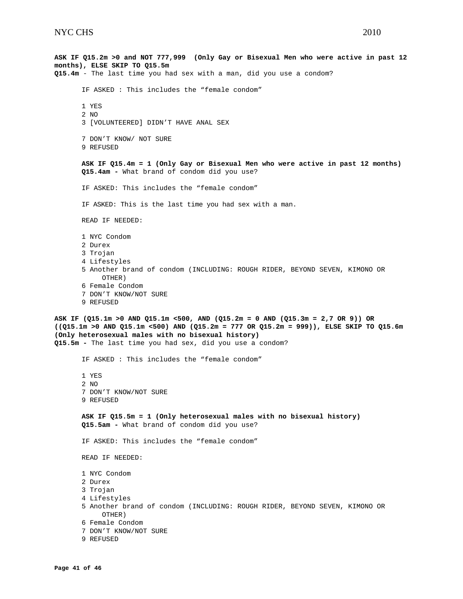**ASK IF Q15.2m >0 and NOT 777,999 (Only Gay or Bisexual Men who were active in past 12 months), ELSE SKIP TO Q15.5m Q15.4m** - The last time you had sex with a man, did you use a condom? IF ASKED : This includes the "female condom" 1 YES 2  $N<sub>O</sub>$ 3 [VOLUNTEERED] DIDN'T HAVE ANAL SEX 7 DON'T KNOW/ NOT SURE 9 REFUSED **ASK IF Q15.4m = 1 (Only Gay or Bisexual Men who were active in past 12 months) Q15.4am -** What brand of condom did you use? IF ASKED: This includes the "female condom" IF ASKED: This is the last time you had sex with a man. READ IF NEEDED: 1 NYC Condom 2 Durex 3 Trojan 4 Lifestyles 5 Another brand of condom (INCLUDING: ROUGH RIDER, BEYOND SEVEN, KIMONO OR OTHER) 6 Female Condom 7 DON'T KNOW/NOT SURE 9 REFUSED **ASK IF (Q15.1m >0 AND Q15.1m <500, AND (Q15.2m = 0 AND (Q15.3m = 2,7 OR 9)) OR ((Q15.1m >0 AND Q15.1m <500) AND (Q15.2m = 777 OR Q15.2m = 999)), ELSE SKIP TO Q15.6m (Only heterosexual males with no bisexual history) Q15.5m -** The last time you had sex, did you use a condom? IF ASKED : This includes the "female condom" 1 YES 2  $N<sub>O</sub>$ 7 DON'T KNOW/NOT SURE 9 REFUSED **ASK IF Q15.5m = 1 (Only heterosexual males with no bisexual history) Q15.5am -** What brand of condom did you use? IF ASKED: This includes the "female condom" READ IF NEEDED: 1 NYC Condom 2 Durex 3 Trojan 4 Lifestyles 5 Another brand of condom (INCLUDING: ROUGH RIDER, BEYOND SEVEN, KIMONO OR OTHER) 6 Female Condom 7 DON'T KNOW/NOT SURE 9 REFUSED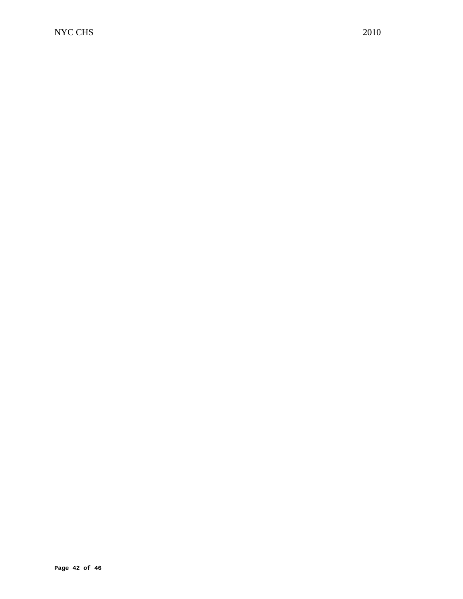## NYC CHS 2010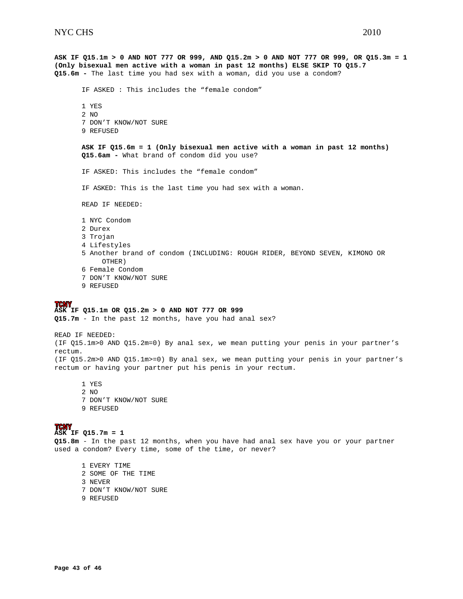**ASK IF Q15.1m > 0 AND NOT 777 OR 999, AND Q15.2m > 0 AND NOT 777 OR 999, OR Q15.3m = 1 (Only bisexual men active with a woman in past 12 months) ELSE SKIP TO Q15.7 Q15.6m -** The last time you had sex with a woman, did you use a condom? IF ASKED : This includes the "female condom" 1 YES 2  $N<sub>O</sub>$ 7 DON'T KNOW/NOT SURE 9 REFUSED **ASK IF Q15.6m = 1 (Only bisexual men active with a woman in past 12 months) Q15.6am -** What brand of condom did you use? IF ASKED: This includes the "female condom" IF ASKED: This is the last time you had sex with a woman. READ IF NEEDED: 1 NYC Condom 2 Durex 3 Trojan 4 Lifestyles 5 Another brand of condom (INCLUDING: ROUGH RIDER, BEYOND SEVEN, KIMONO OR OTHER) 6 Female Condom 7 DON'T KNOW/NOT SURE 9 REFUSED TCh **ASK IF Q15.1m OR Q15.2m > 0 AND NOT 777 OR 999 Q15.7m** - In the past 12 months, have you had anal sex? READ IF NEEDED: (IF Q15.1m>0 AND Q15.2m=0) By anal sex, we mean putting your penis in your partner's rectum. (IF Q15.2m>0 AND Q15.1m>=0) By anal sex, we mean putting your penis in your partner's rectum or having your partner put his penis in your rectum. 1 YES 2 NO 7 DON'T KNOW/NOT SURE 9 REFUSED **TCNY ASK IF Q15.7m = 1 Q15.8m** - In the past 12 months, when you have had anal sex have you or your partner used a condom? Every time, some of the time, or never? 1 EVERY TIME 2 SOME OF THE TIME 3 NEVER 7 DON'T KNOW/NOT SURE 9 REFUSED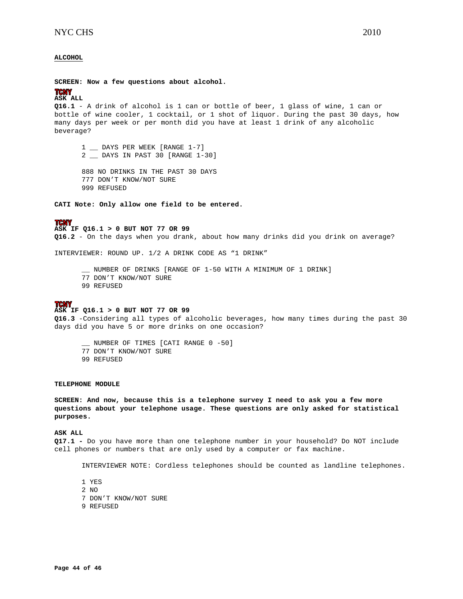### **ALCOHOL**

### **SCREEN: Now a few questions about alcohol.**

#### **TCNY ASK ALL**

**Q16.1** - A drink of alcohol is 1 can or bottle of beer, 1 glass of wine, 1 can or bottle of wine cooler, 1 cocktail, or 1 shot of liquor. During the past 30 days, how many days per week or per month did you have at least 1 drink of any alcoholic beverage?

1 \_\_ DAYS PER WEEK [RANGE 1-7] 2 \_\_ DAYS IN PAST 30 [RANGE 1-30]

888 NO DRINKS IN THE PAST 30 DAYS 777 DON'T KNOW/NOT SURE 999 REFUSED

**CATI Note: Only allow one field to be entered.**

### **TCNY**

### **ASK IF Q16.1 > 0 BUT NOT 77 OR 99**

**Q16.2** - On the days when you drank, about how many drinks did you drink on average?

INTERVIEWER: ROUND UP. 1/2 A DRINK CODE AS "1 DRINK"

- \_\_ NUMBER OF DRINKS [RANGE OF 1-50 WITH A MINIMUM OF 1 DRINK] 77 DON'T KNOW/NOT SURE 99 REFUSED
- 

### **TCMV**

### **ASK IF Q16.1 > 0 BUT NOT 77 OR 99**

**Q16.3** -Considering all types of alcoholic beverages, how many times during the past 30 days did you have 5 or more drinks on one occasion?

\_\_ NUMBER OF TIMES [CATI RANGE 0 -50] 77 DON'T KNOW/NOT SURE 99 REFUSED

### **TELEPHONE MODULE**

**SCREEN: And now, because this is a telephone survey I need to ask you a few more questions about your telephone usage. These questions are only asked for statistical purposes.**

### **ASK ALL**

**Q17.1 -** Do you have more than one telephone number in your household? Do NOT include cell phones or numbers that are only used by a computer or fax machine.

INTERVIEWER NOTE: Cordless telephones should be counted as landline telephones.

1 YES  $2 NQ$ 7 DON'T KNOW/NOT SURE 9 REFUSED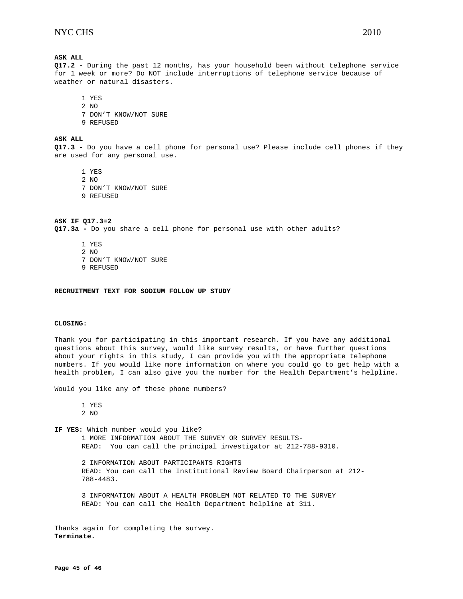**ASK ALL Q17.2 -** During the past 12 months, has your household been without telephone service for 1 week or more? Do NOT include interruptions of telephone service because of weather or natural disasters. 1 YES 2 NO 7 DON'T KNOW/NOT SURE 9 REFUSED **ASK ALL Q17.3** - Do you have a cell phone for personal use? Please include cell phones if they are used for any personal use. 1 YES 2 NO 7 DON'T KNOW/NOT SURE 9 REFUSED **ASK IF Q17.3=2 Q17.3a -** Do you share a cell phone for personal use with other adults? 1 YES 2 NO 7 DON'T KNOW/NOT SURE

- 9 REFUSED
- 

**RECRUITMENT TEXT FOR SODIUM FOLLOW UP STUDY**

### **CLOSING:**

Thank you for participating in this important research. If you have any additional questions about this survey, would like survey results, or have further questions about your rights in this study, I can provide you with the appropriate telephone numbers. If you would like more information on where you could go to get help with a health problem, I can also give you the number for the Health Department's helpline.

Would you like any of these phone numbers?

**IF YES:** Which number would you like? 1 MORE INFORMATION ABOUT THE SURVEY OR SURVEY RESULTS-READ: You can call the principal investigator at 212-788-9310.

2 INFORMATION ABOUT PARTICIPANTS RIGHTS READ: You can call the Institutional Review Board Chairperson at 212- 788-4483.

3 INFORMATION ABOUT A HEALTH PROBLEM NOT RELATED TO THE SURVEY READ: You can call the Health Department helpline at 311.

Thanks again for completing the survey. **Terminate.**

<sup>1</sup> YES 2 NO